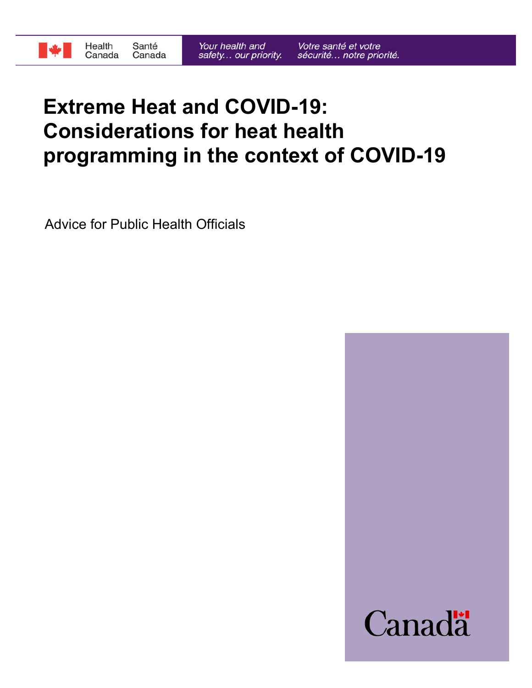

# **Extreme Heat and COVID-19: Considerations for heat health programming in the context of COVID-19**

Advice for Public Health Officials

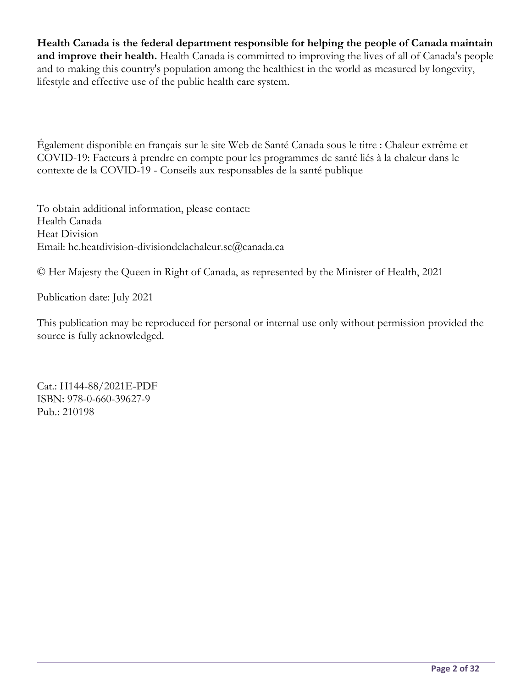**Health Canada is the federal department responsible for helping the people of Canada maintain and improve their health.** Health Canada is committed to improving the lives of all of Canada's people and to making this country's population among the healthiest in the world as measured by longevity, lifestyle and effective use of the public health care system.

Également disponible en français sur le site Web de Santé Canada sous le titre : Chaleur extrême et COVID-19: Facteurs à prendre en compte pour les programmes de santé liés à la chaleur dans le contexte de la COVID-19 - Conseils aux responsables de la santé publique

To obtain additional information, please contact: Health Canada Heat Division Email: hc.heatdivision-divisiondelachaleur.sc@canada.ca

© Her Majesty the Queen in Right of Canada, as represented by the Minister of Health, 2021

Publication date: July 2021

This publication may be reproduced for personal or internal use only without permission provided the source is fully acknowledged.

Cat.: H144-88/2021E-PDF ISBN: 978-0-660-39627-9 Pub.: 210198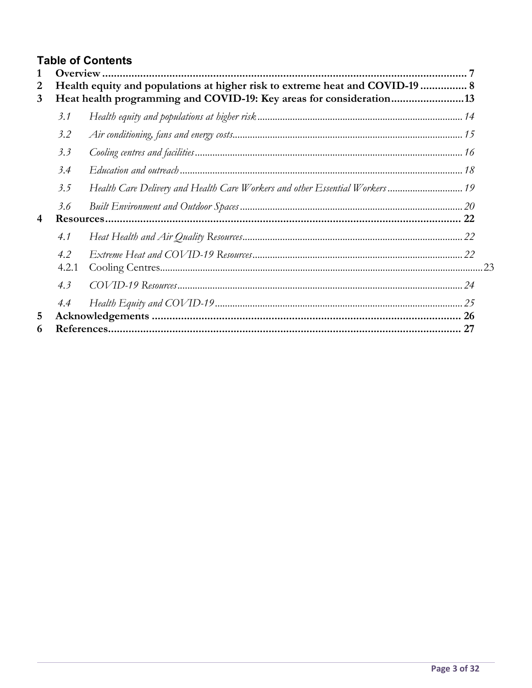## **Table of Contents**

| 1<br>$\overline{2}$<br>3 | Health equity and populations at higher risk to extreme heat and COVID-19  8<br>Heat health programming and COVID-19: Key areas for consideration13 |  |  |  |
|--------------------------|-----------------------------------------------------------------------------------------------------------------------------------------------------|--|--|--|
|                          | 3.1                                                                                                                                                 |  |  |  |
|                          | 3.2                                                                                                                                                 |  |  |  |
|                          | 3.3                                                                                                                                                 |  |  |  |
|                          | 3.4                                                                                                                                                 |  |  |  |
|                          | 3.5                                                                                                                                                 |  |  |  |
| $\overline{4}$           | 3.6                                                                                                                                                 |  |  |  |
|                          | 4.1                                                                                                                                                 |  |  |  |
|                          | 4.2<br>4.2.1                                                                                                                                        |  |  |  |
|                          | 4.3                                                                                                                                                 |  |  |  |
| 5                        | 4.4                                                                                                                                                 |  |  |  |
| 6                        |                                                                                                                                                     |  |  |  |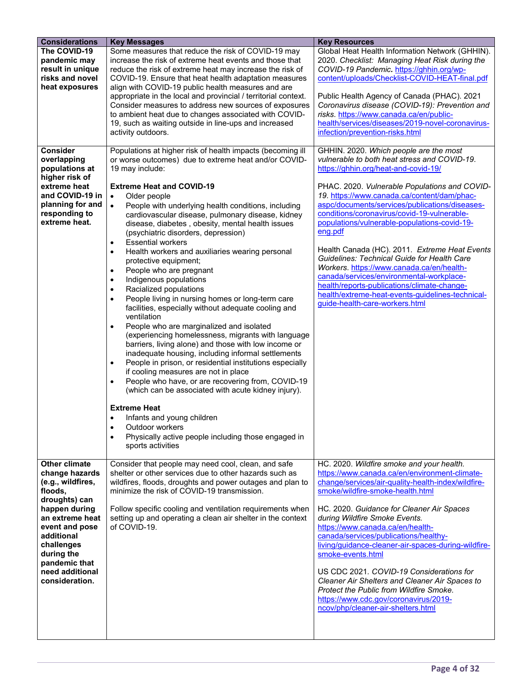| <b>Considerations</b>                                                                                                                                                                                                                  | <b>Key Messages</b>                                                                                                                                                                                                                                                                                                                                                                                                                                                                                                                                                                                                                                                                                                                                                                                                                                                                                                                                                                                                                                                                                                                                                                                                                                                                                                                                                                                                                                                                         | <b>Key Resources</b>                                                                                                                                                                                                                                                                                                                                                                                                                                                                                                                                                                                                                                                                                                            |
|----------------------------------------------------------------------------------------------------------------------------------------------------------------------------------------------------------------------------------------|---------------------------------------------------------------------------------------------------------------------------------------------------------------------------------------------------------------------------------------------------------------------------------------------------------------------------------------------------------------------------------------------------------------------------------------------------------------------------------------------------------------------------------------------------------------------------------------------------------------------------------------------------------------------------------------------------------------------------------------------------------------------------------------------------------------------------------------------------------------------------------------------------------------------------------------------------------------------------------------------------------------------------------------------------------------------------------------------------------------------------------------------------------------------------------------------------------------------------------------------------------------------------------------------------------------------------------------------------------------------------------------------------------------------------------------------------------------------------------------------|---------------------------------------------------------------------------------------------------------------------------------------------------------------------------------------------------------------------------------------------------------------------------------------------------------------------------------------------------------------------------------------------------------------------------------------------------------------------------------------------------------------------------------------------------------------------------------------------------------------------------------------------------------------------------------------------------------------------------------|
| The COVID-19<br>pandemic may<br>result in unique<br>risks and novel<br>heat exposures                                                                                                                                                  | Some measures that reduce the risk of COVID-19 may<br>increase the risk of extreme heat events and those that<br>reduce the risk of extreme heat may increase the risk of<br>COVID-19. Ensure that heat health adaptation measures<br>align with COVID-19 public health measures and are<br>appropriate in the local and provincial / territorial context.<br>Consider measures to address new sources of exposures<br>to ambient heat due to changes associated with COVID-<br>19, such as waiting outside in line-ups and increased<br>activity outdoors.                                                                                                                                                                                                                                                                                                                                                                                                                                                                                                                                                                                                                                                                                                                                                                                                                                                                                                                                 | Global Heat Health Information Network (GHHIN).<br>2020. Checklist: Managing Heat Risk during the<br>COVID-19 Pandemic. https://ghhin.org/wp-<br>content/uploads/Checklist-COVID-HEAT-final.pdf<br>Public Health Agency of Canada (PHAC). 2021<br>Coronavirus disease (COVID-19): Prevention and<br>risks. https://www.canada.ca/en/public-<br>health/services/diseases/2019-novel-coronavirus-<br>infection/prevention-risks.html                                                                                                                                                                                                                                                                                              |
| <b>Consider</b><br>overlapping<br>populations at<br>higher risk of<br>extreme heat<br>and COVID-19 in<br>planning for and<br>responding to<br>extreme heat.                                                                            | Populations at higher risk of health impacts (becoming ill<br>or worse outcomes) due to extreme heat and/or COVID-<br>19 may include:<br><b>Extreme Heat and COVID-19</b><br>$\bullet$<br>Older people<br>People with underlying health conditions, including<br>$\bullet$<br>cardiovascular disease, pulmonary disease, kidney<br>disease, diabetes, obesity, mental health issues<br>(psychiatric disorders, depression)<br><b>Essential workers</b><br>$\bullet$<br>Health workers and auxiliaries wearing personal<br>$\bullet$<br>protective equipment;<br>People who are pregnant<br>$\bullet$<br>Indigenous populations<br>$\bullet$<br>Racialized populations<br>$\bullet$<br>People living in nursing homes or long-term care<br>$\bullet$<br>facilities, especially without adequate cooling and<br>ventilation<br>People who are marginalized and isolated<br>$\bullet$<br>(experiencing homelessness, migrants with language<br>barriers, living alone) and those with low income or<br>inadequate housing, including informal settlements<br>People in prison, or residential institutions especially<br>$\bullet$<br>if cooling measures are not in place<br>People who have, or are recovering from, COVID-19<br>$\bullet$<br>(which can be associated with acute kidney injury).<br><b>Extreme Heat</b><br>Infants and young children<br>$\bullet$<br>$\bullet$<br>Outdoor workers<br>Physically active people including those engaged in<br>$\bullet$<br>sports activities | GHHIN. 2020. Which people are the most<br>vulnerable to both heat stress and COVID-19.<br>https://ghhin.org/heat-and-covid-19/<br>PHAC. 2020. Vulnerable Populations and COVID-<br>19. https://www.canada.ca/content/dam/phac-<br>aspc/documents/services/publications/diseases-<br>conditions/coronavirus/covid-19-vulnerable-<br>populations/vulnerable-populations-covid-19-<br>eng.pdf<br>Health Canada (HC). 2011. Extreme Heat Events<br><b>Guidelines: Technical Guide for Health Care</b><br>Workers. https://www.canada.ca/en/health-<br>canada/services/environmental-workplace-<br>health/reports-publications/climate-change-<br>health/extreme-heat-events-guidelines-technical-<br>guide-health-care-workers.html |
| Other climate<br>change hazards<br>(e.g., wildfires,<br>floods,<br>droughts) can<br>happen during<br>an extreme heat<br>event and pose<br>additional<br>challenges<br>during the<br>pandemic that<br>need additional<br>consideration. | Consider that people may need cool, clean, and safe<br>shelter or other services due to other hazards such as<br>wildfires, floods, droughts and power outages and plan to<br>minimize the risk of COVID-19 transmission.<br>Follow specific cooling and ventilation requirements when<br>setting up and operating a clean air shelter in the context<br>of COVID-19.                                                                                                                                                                                                                                                                                                                                                                                                                                                                                                                                                                                                                                                                                                                                                                                                                                                                                                                                                                                                                                                                                                                       | HC. 2020. Wildfire smoke and your health.<br>https://www.canada.ca/en/environment-climate-<br>change/services/air-quality-health-index/wildfire-<br>smoke/wildfire-smoke-health.html<br>HC. 2020. Guidance for Cleaner Air Spaces<br>during Wildfire Smoke Events.<br>https://www.canada.ca/en/health-<br>canada/services/publications/healthy-<br>living/guidance-cleaner-air-spaces-during-wildfire-<br>smoke-events.html<br>US CDC 2021, COVID-19 Considerations for<br>Cleaner Air Shelters and Cleaner Air Spaces to<br>Protect the Public from Wildfire Smoke.<br>https://www.cdc.gov/coronavirus/2019-<br>ncov/php/cleaner-air-shelters.html                                                                             |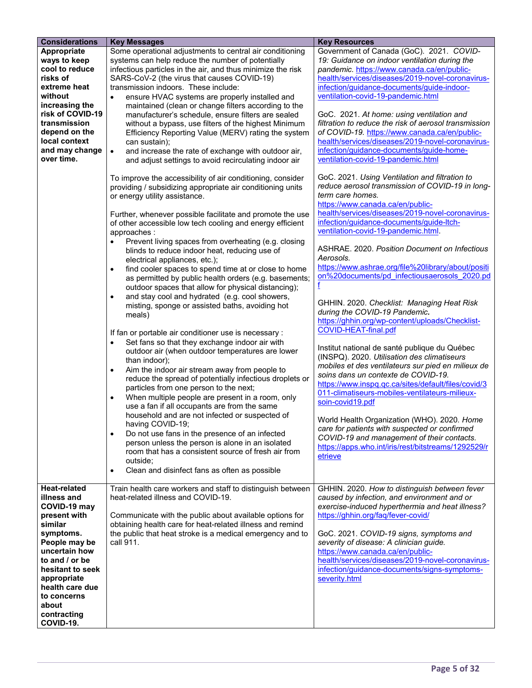| <b>Considerations</b>                                                                                                                                                                                                                                    | <b>Key Messages</b>                                                                                                                                                                                                                                                                                                                                                                                                                                                                                                                                                                                                                                                                                                                            | <b>Key Resources</b>                                                                                                                                                                                                                                                                                                                                                                                                                                                                                                                                                    |
|----------------------------------------------------------------------------------------------------------------------------------------------------------------------------------------------------------------------------------------------------------|------------------------------------------------------------------------------------------------------------------------------------------------------------------------------------------------------------------------------------------------------------------------------------------------------------------------------------------------------------------------------------------------------------------------------------------------------------------------------------------------------------------------------------------------------------------------------------------------------------------------------------------------------------------------------------------------------------------------------------------------|-------------------------------------------------------------------------------------------------------------------------------------------------------------------------------------------------------------------------------------------------------------------------------------------------------------------------------------------------------------------------------------------------------------------------------------------------------------------------------------------------------------------------------------------------------------------------|
| Appropriate<br>ways to keep<br>cool to reduce<br>risks of<br>extreme heat<br>without<br>increasing the                                                                                                                                                   | Some operational adjustments to central air conditioning<br>systems can help reduce the number of potentially<br>infectious particles in the air, and thus minimize the risk<br>SARS-CoV-2 (the virus that causes COVID-19)<br>transmission indoors. These include:<br>ensure HVAC systems are properly installed and<br>$\bullet$<br>maintained (clean or change filters according to the                                                                                                                                                                                                                                                                                                                                                     | Government of Canada (GoC). 2021. COVID-<br>19: Guidance on indoor ventilation during the<br>pandemic. https://www.canada.ca/en/public-<br>health/services/diseases/2019-novel-coronavirus-<br>infection/guidance-documents/guide-indoor-<br>ventilation-covid-19-pandemic.html                                                                                                                                                                                                                                                                                         |
| risk of COVID-19<br>transmission<br>depend on the<br>local context<br>and may change<br>over time.                                                                                                                                                       | manufacturer's schedule, ensure filters are sealed<br>without a bypass, use filters of the highest Minimum<br>Efficiency Reporting Value (MERV) rating the system<br>can sustain);<br>and increase the rate of exchange with outdoor air,<br>$\bullet$<br>and adjust settings to avoid recirculating indoor air                                                                                                                                                                                                                                                                                                                                                                                                                                | GoC. 2021. At home: using ventilation and<br>filtration to reduce the risk of aerosol transmission<br>of COVID-19. https://www.canada.ca/en/public-<br>health/services/diseases/2019-novel-coronavirus-<br>infection/guidance-documents/guide-home-<br>ventilation-covid-19-pandemic.html                                                                                                                                                                                                                                                                               |
|                                                                                                                                                                                                                                                          | To improve the accessibility of air conditioning, consider<br>providing / subsidizing appropriate air conditioning units<br>or energy utility assistance.<br>Further, whenever possible facilitate and promote the use<br>of other accessible low tech cooling and energy efficient<br>approaches:<br>Prevent living spaces from overheating (e.g. closing<br>$\bullet$<br>blinds to reduce indoor heat, reducing use of<br>electrical appliances, etc.);                                                                                                                                                                                                                                                                                      | GoC. 2021. Using Ventilation and filtration to<br>reduce aerosol transmission of COVID-19 in long-<br>term care homes.<br>https://www.canada.ca/en/public-<br>health/services/diseases/2019-novel-coronavirus-<br>infection/guidance-documents/guide-ltch-<br>ventilation-covid-19-pandemic.html.<br>ASHRAE. 2020. Position Document on Infectious<br>Aerosols.                                                                                                                                                                                                         |
|                                                                                                                                                                                                                                                          | find cooler spaces to spend time at or close to home<br>$\bullet$<br>as permitted by public health orders (e.g. basements;<br>outdoor spaces that allow for physical distancing);<br>and stay cool and hydrated (e.g. cool showers,<br>$\bullet$<br>misting, sponge or assisted baths, avoiding hot<br>meals)<br>If fan or portable air conditioner use is necessary :<br>Set fans so that they exchange indoor air with<br>$\bullet$<br>outdoor air (when outdoor temperatures are lower<br>than indoor);<br>Aim the indoor air stream away from people to<br>$\bullet$<br>reduce the spread of potentially infectious droplets or<br>particles from one person to the next;<br>When multiple people are present in a room, only<br>$\bullet$ | https://www.ashrae.org/file%20library/about/positi<br>on%20documents/pd infectiousaerosols 2020.pd<br>f<br>GHHIN. 2020. Checklist: Managing Heat Risk<br>during the COVID-19 Pandemic.<br>https://ghhin.org/wp-content/uploads/Checklist-<br>COVID-HEAT-final.pdf<br>Institut national de santé publique du Québec<br>(INSPQ). 2020. Utilisation des climatiseurs<br>mobiles et des ventilateurs sur pied en milieux de<br>soins dans un contexte de COVID-19.<br>https://www.inspq.qc.ca/sites/default/files/covid/3<br>011-climatiseurs-mobiles-ventilateurs-milieux- |
|                                                                                                                                                                                                                                                          | use a fan if all occupants are from the same<br>household and are not infected or suspected of<br>having COVID-19;<br>Do not use fans in the presence of an infected<br>$\bullet$<br>person unless the person is alone in an isolated<br>room that has a consistent source of fresh air from<br>outside;<br>Clean and disinfect fans as often as possible<br>$\bullet$                                                                                                                                                                                                                                                                                                                                                                         | soin-covid19.pdf<br>World Health Organization (WHO). 2020. Home<br>care for patients with suspected or confirmed<br>COVID-19 and management of their contacts.<br>https://apps.who.int/iris/rest/bitstreams/1292529/r<br>etrieve                                                                                                                                                                                                                                                                                                                                        |
| <b>Heat-related</b><br>illness and<br>COVID-19 may<br>present with<br>similar<br>symptoms.<br>People may be<br>uncertain how<br>to and / or be<br>hesitant to seek<br>appropriate<br>health care due<br>to concerns<br>about<br>contracting<br>COVID-19. | Train health care workers and staff to distinguish between<br>heat-related illness and COVID-19.<br>Communicate with the public about available options for<br>obtaining health care for heat-related illness and remind<br>the public that heat stroke is a medical emergency and to<br>call 911.                                                                                                                                                                                                                                                                                                                                                                                                                                             | GHHIN. 2020. How to distinguish between fever<br>caused by infection, and environment and or<br>exercise-induced hyperthermia and heat illness?<br>https://ghhin.org/faq/fever-covid/<br>GoC. 2021. COVID-19 signs, symptoms and<br>severity of disease: A clinician guide.<br>https://www.canada.ca/en/public-<br>health/services/diseases/2019-novel-coronavirus-<br>infection/guidance-documents/signs-symptoms-<br>severity.html                                                                                                                                    |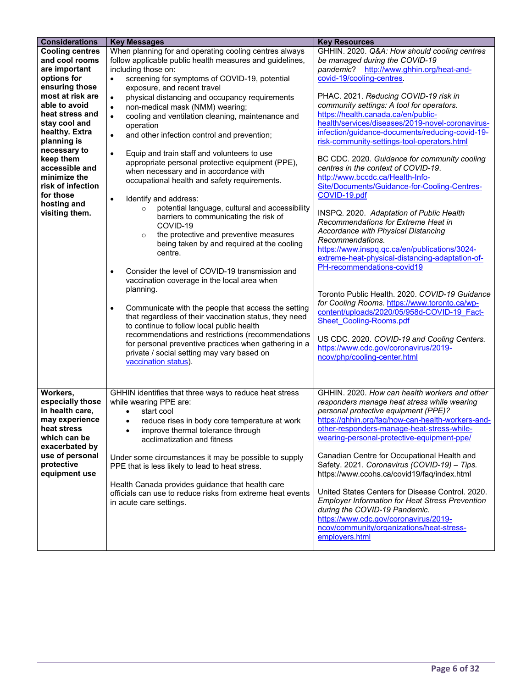| <b>Considerations</b>              | <b>Key Messages</b>                                                                                                        | <b>Key Resources</b>                                                                     |
|------------------------------------|----------------------------------------------------------------------------------------------------------------------------|------------------------------------------------------------------------------------------|
| <b>Cooling centres</b>             | When planning for and operating cooling centres always                                                                     | GHHIN. 2020. Q&A: How should cooling centres                                             |
| and cool rooms                     | follow applicable public health measures and guidelines,                                                                   | be managed during the COVID-19                                                           |
| are important                      | including those on:                                                                                                        | pandemic? http://www.ghhin.org/heat-and-                                                 |
| options for                        | screening for symptoms of COVID-19, potential<br>$\bullet$                                                                 | covid-19/cooling-centres.                                                                |
| ensuring those<br>most at risk are | exposure, and recent travel                                                                                                | PHAC. 2021. Reducing COVID-19 risk in                                                    |
| able to avoid                      | physical distancing and occupancy requirements<br>$\bullet$                                                                | community settings: A tool for operators.                                                |
| heat stress and                    | non-medical mask (NMM) wearing;<br>$\bullet$                                                                               | https://health.canada.ca/en/public-                                                      |
| stay cool and                      | cooling and ventilation cleaning, maintenance and<br>$\bullet$<br>operation                                                | health/services/diseases/2019-novel-coronavirus-                                         |
| healthy. Extra                     | and other infection control and prevention;<br>$\bullet$                                                                   | infection/guidance-documents/reducing-covid-19-                                          |
| planning is                        |                                                                                                                            | risk-community-settings-tool-operators.html                                              |
| necessary to                       | $\bullet$<br>Equip and train staff and volunteers to use                                                                   |                                                                                          |
| keep them                          | appropriate personal protective equipment (PPE),                                                                           | BC CDC. 2020. Guidance for community cooling                                             |
| accessible and                     | when necessary and in accordance with                                                                                      | centres in the context of COVID-19.                                                      |
| minimize the<br>risk of infection  | occupational health and safety requirements.                                                                               | http://www.bccdc.ca/Health-Info-                                                         |
| for those                          |                                                                                                                            | Site/Documents/Guidance-for-Cooling-Centres-<br>COVID-19.pdf                             |
| hosting and                        | Identify and address:<br>$\bullet$                                                                                         |                                                                                          |
| visiting them.                     | potential language, cultural and accessibility<br>$\circ$                                                                  | INSPQ. 2020. Adaptation of Public Health                                                 |
|                                    | barriers to communicating the risk of<br>COVID-19                                                                          | Recommendations for Extreme Heat in                                                      |
|                                    | the protective and preventive measures<br>$\circ$                                                                          | Accordance with Physical Distancing                                                      |
|                                    | being taken by and required at the cooling                                                                                 | Recommendations.                                                                         |
|                                    | centre.                                                                                                                    | https://www.inspq.qc.ca/en/publications/3024-                                            |
|                                    |                                                                                                                            | extreme-heat-physical-distancing-adaptation-of-                                          |
|                                    | Consider the level of COVID-19 transmission and<br>$\bullet$                                                               | PH-recommendations-covid19                                                               |
|                                    | vaccination coverage in the local area when                                                                                |                                                                                          |
|                                    | planning.                                                                                                                  | Toronto Public Health, 2020, COVID-19 Guidance                                           |
|                                    |                                                                                                                            | for Cooling Rooms. https://www.toronto.ca/wp-                                            |
|                                    | Communicate with the people that access the setting<br>$\bullet$<br>that regardless of their vaccination status, they need | content/uploads/2020/05/958d-COVID-19 Fact-                                              |
|                                    | to continue to follow local public health                                                                                  | <b>Sheet Cooling-Rooms.pdf</b>                                                           |
|                                    | recommendations and restrictions (recommendations                                                                          |                                                                                          |
|                                    | for personal preventive practices when gathering in a                                                                      | US CDC. 2020. COVID-19 and Cooling Centers.<br>https://www.cdc.gov/coronavirus/2019-     |
|                                    | private / social setting may vary based on                                                                                 | ncov/php/cooling-center.html                                                             |
|                                    | vaccination status).                                                                                                       |                                                                                          |
|                                    |                                                                                                                            |                                                                                          |
|                                    |                                                                                                                            |                                                                                          |
| Workers,                           | GHHIN identifies that three ways to reduce heat stress                                                                     | GHHIN. 2020. How can health workers and other                                            |
| especially those                   | while wearing PPE are:                                                                                                     | responders manage heat stress while wearing                                              |
| in health care,                    | start cool                                                                                                                 | personal protective equipment (PPE)?                                                     |
| may experience<br>heat stress      | reduce rises in body core temperature at work                                                                              | https://ghhin.org/faq/how-can-health-workers-and-                                        |
| which can be                       | improve thermal tolerance through                                                                                          | other-responders-manage-heat-stress-while-<br>wearing-personal-protective-equipment-ppe/ |
| exacerbated by                     | acclimatization and fitness                                                                                                |                                                                                          |
| use of personal                    | Under some circumstances it may be possible to supply                                                                      | Canadian Centre for Occupational Health and                                              |
| protective                         | PPE that is less likely to lead to heat stress.                                                                            | Safety. 2021. Coronavirus (COVID-19) - Tips.                                             |
| equipment use                      |                                                                                                                            | https://www.ccohs.ca/covid19/faq/index.html                                              |
|                                    | Health Canada provides guidance that health care                                                                           |                                                                                          |
|                                    | officials can use to reduce risks from extreme heat events                                                                 | United States Centers for Disease Control. 2020.                                         |
|                                    | in acute care settings.                                                                                                    | <b>Employer Information for Heat Stress Prevention</b><br>during the COVID-19 Pandemic.  |
|                                    |                                                                                                                            | https://www.cdc.gov/coronavirus/2019-                                                    |
|                                    |                                                                                                                            | ncov/community/organizations/heat-stress-                                                |
|                                    |                                                                                                                            | employers.html                                                                           |
|                                    |                                                                                                                            |                                                                                          |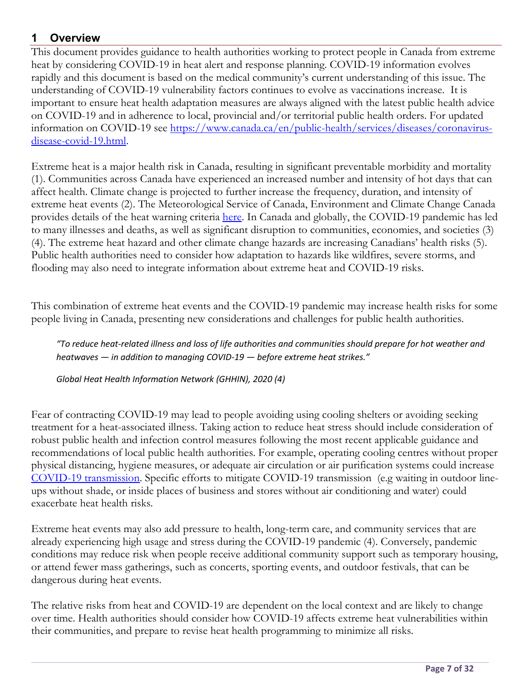## **1 Overview**

This document provides guidance to health authorities working to protect people in Canada from extreme heat by considering COVID-19 in heat alert and response planning. COVID-19 information evolves rapidly and this document is based on the medical community's current understanding of this issue. The understanding of COVID-19 vulnerability factors continues to evolve as vaccinations increase. It is important to ensure heat health adaptation measures are always aligned with the latest public health advice on COVID-19 and in adherence to local, provincial and/or territorial public health orders. For updated information on COVID-19 see https://www.canada.ca/en/public-health/services/diseases/coronavirusdisease-covid-19.html.

Extreme heat is a major health risk in Canada, resulting in significant preventable morbidity and mortality (1). Communities across Canada have experienced an increased number and intensity of hot days that can affect health. Climate change is projected to further increase the frequency, duration, and intensity of extreme heat events (2). The Meteorological Service of Canada, Environment and Climate Change Canada provides details of the heat warning criteria here. In Canada and globally, the COVID-19 pandemic has led to many illnesses and deaths, as well as significant disruption to communities, economies, and societies (3) (4). The extreme heat hazard and other climate change hazards are increasing Canadians' health risks (5). Public health authorities need to consider how adaptation to hazards like wildfires, severe storms, and flooding may also need to integrate information about extreme heat and COVID-19 risks.

This combination of extreme heat events and the COVID-19 pandemic may increase health risks for some people living in Canada, presenting new considerations and challenges for public health authorities.

*"To reduce heat-related illness and loss of life authorities and communities should prepare for hot weather and heatwaves — in addition to managing COVID-19 — before extreme heat strikes."*

*Global Heat Health Information Network (GHHIN), 2020 (4)*

Fear of contracting COVID-19 may lead to people avoiding using cooling shelters or avoiding seeking treatment for a heat-associated illness. Taking action to reduce heat stress should include consideration of robust public health and infection control measures following the most recent applicable guidance and recommendations of local public health authorities. For example, operating cooling centres without proper physical distancing, hygiene measures, or adequate air circulation or air purification systems could increase COVID-19 transmission. Specific efforts to mitigate COVID-19 transmission (e.g waiting in outdoor lineups without shade, or inside places of business and stores without air conditioning and water) could exacerbate heat health risks.

Extreme heat events may also add pressure to health, long-term care, and community services that are already experiencing high usage and stress during the COVID-19 pandemic (4). Conversely, pandemic conditions may reduce risk when people receive additional community support such as temporary housing, or attend fewer mass gatherings, such as concerts, sporting events, and outdoor festivals, that can be dangerous during heat events.

The relative risks from heat and COVID-19 are dependent on the local context and are likely to change over time. Health authorities should consider how COVID-19 affects extreme heat vulnerabilities within their communities, and prepare to revise heat health programming to minimize all risks.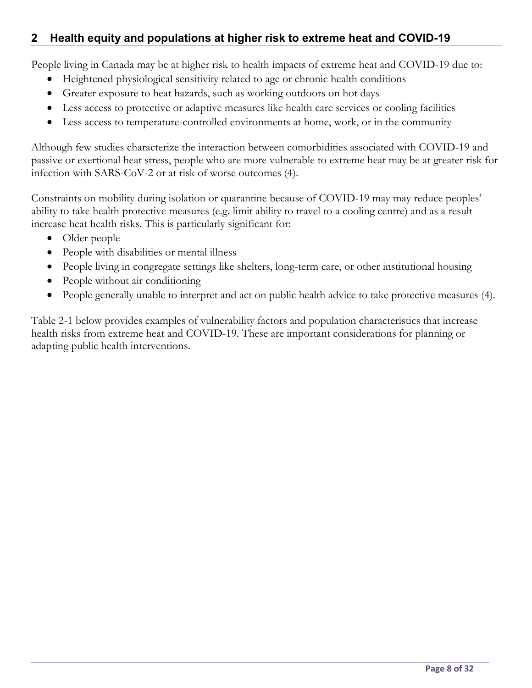## **2 Health equity and populations at higher risk to extreme heat and COVID-19**

People living in Canada may be at higher risk to health impacts of extreme heat and COVID-19 due to:

- Heightened physiological sensitivity related to age or chronic health conditions
- Greater exposure to heat hazards, such as working outdoors on hot days
- Less access to protective or adaptive measures like health care services or cooling facilities
- Less access to temperature-controlled environments at home, work, or in the community

Although few studies characterize the interaction between comorbidities associated with COVID-19 and passive or exertional heat stress, people who are more vulnerable to extreme heat may be at greater risk for infection with SARS-CoV-2 or at risk of worse outcomes (4).

Constraints on mobility during isolation or quarantine because of COVID-19 may may reduce peoples' ability to take health protective measures (e.g. limit ability to travel to a cooling centre) and as a result increase heat health risks. This is particularly significant for:

- Older people
- People with disabilities or mental illness
- People living in congregate settings like shelters, long-term care, or other institutional housing
- People without air conditioning
- People generally unable to interpret and act on public health advice to take protective measures (4).

Table 2-1 below provides examples of vulnerability factors and population characteristics that increase health risks from extreme heat and COVID-19. These are important considerations for planning or adapting public health interventions.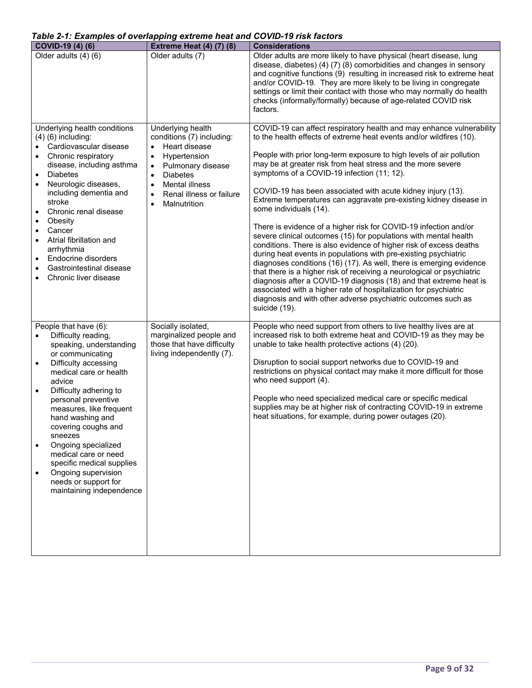#### *Table 2-1: Examples of overlapping extreme heat and COVID-19 risk factors*

| COVID-19 (4) (6)                                                                                                                                                                                                                                                                                                                                                                                                                                                                  | <b>Extreme Heat (4) (7) (8)</b>                                                                                                                                                                                                                                                         | <b>Considerations</b>                                                                                                                                                                                                                                                                                                                                                                                                                                                                                                                                                                                                                                                                                                                                                                                                                                                                                                                                                                                                                                                                                                                                        |
|-----------------------------------------------------------------------------------------------------------------------------------------------------------------------------------------------------------------------------------------------------------------------------------------------------------------------------------------------------------------------------------------------------------------------------------------------------------------------------------|-----------------------------------------------------------------------------------------------------------------------------------------------------------------------------------------------------------------------------------------------------------------------------------------|--------------------------------------------------------------------------------------------------------------------------------------------------------------------------------------------------------------------------------------------------------------------------------------------------------------------------------------------------------------------------------------------------------------------------------------------------------------------------------------------------------------------------------------------------------------------------------------------------------------------------------------------------------------------------------------------------------------------------------------------------------------------------------------------------------------------------------------------------------------------------------------------------------------------------------------------------------------------------------------------------------------------------------------------------------------------------------------------------------------------------------------------------------------|
| Older adults (4) (6)                                                                                                                                                                                                                                                                                                                                                                                                                                                              | Older adults (7)                                                                                                                                                                                                                                                                        | Older adults are more likely to have physical (heart disease, lung<br>disease, diabetes) (4) (7) (8) comorbidities and changes in sensory<br>and cognitive functions (9) resulting in increased risk to extreme heat<br>and/or COVID-19. They are more likely to be living in congregate<br>settings or limit their contact with those who may normally do health<br>checks (informally/formally) because of age-related COVID risk<br>factors.                                                                                                                                                                                                                                                                                                                                                                                                                                                                                                                                                                                                                                                                                                              |
| Underlying health conditions<br>$(4)$ $(6)$ including:<br>Cardiovascular disease<br>Chronic respiratory<br>$\bullet$<br>disease, including asthma<br><b>Diabetes</b><br>$\bullet$<br>Neurologic diseases,<br>$\bullet$<br>including dementia and<br>stroke<br>Chronic renal disease<br>Obesity<br>Cancer<br>$\bullet$<br>Atrial fibrillation and<br>$\bullet$<br>arrhythmia<br>Endocrine disorders<br>Gastrointestinal disease<br>$\bullet$<br>Chronic liver disease<br>$\bullet$ | Underlying health<br>conditions (7) including:<br>Heart disease<br>$\bullet$<br>Hypertension<br>$\bullet$<br>Pulmonary disease<br>$\bullet$<br><b>Diabetes</b><br>$\bullet$<br><b>Mental illness</b><br>$\bullet$<br>Renal illness or failure<br>$\bullet$<br>Malnutrition<br>$\bullet$ | COVID-19 can affect respiratory health and may enhance vulnerability<br>to the health effects of extreme heat events and/or wildfires (10).<br>People with prior long-term exposure to high levels of air pollution<br>may be at greater risk from heat stress and the more severe<br>symptoms of a COVID-19 infection (11; 12).<br>COVID-19 has been associated with acute kidney injury (13).<br>Extreme temperatures can aggravate pre-existing kidney disease in<br>some individuals (14).<br>There is evidence of a higher risk for COVID-19 infection and/or<br>severe clinical outcomes (15) for populations with mental health<br>conditions. There is also evidence of higher risk of excess deaths<br>during heat events in populations with pre-existing psychiatric<br>diagnoses conditions (16) (17). As well, there is emerging evidence<br>that there is a higher risk of receiving a neurological or psychiatric<br>diagnosis after a COVID-19 diagnosis (18) and that extreme heat is<br>associated with a higher rate of hospitalization for psychiatric<br>diagnosis and with other adverse psychiatric outcomes such as<br>suicide (19). |
| People that have (6):<br>Difficulty reading,<br>speaking, understanding<br>or communicating<br>Difficulty accessing<br>medical care or health<br>advice<br>Difficulty adhering to<br>$\bullet$<br>personal preventive<br>measures, like frequent<br>hand washing and<br>covering coughs and<br>sneezes<br>Ongoing specialized<br>medical care or need<br>specific medical supplies<br>Ongoing supervision<br>needs or support for<br>maintaining independence                     | Socially isolated,<br>marginalized people and<br>those that have difficulty<br>living independently (7).                                                                                                                                                                                | People who need support from others to live healthy lives are at<br>increased risk to both extreme heat and COVID-19 as they may be<br>unable to take health protective actions (4) (20).<br>Disruption to social support networks due to COVID-19 and<br>restrictions on physical contact may make it more difficult for those<br>who need support (4).<br>People who need specialized medical care or specific medical<br>supplies may be at higher risk of contracting COVID-19 in extreme<br>heat situations, for example, during power outages (20).                                                                                                                                                                                                                                                                                                                                                                                                                                                                                                                                                                                                    |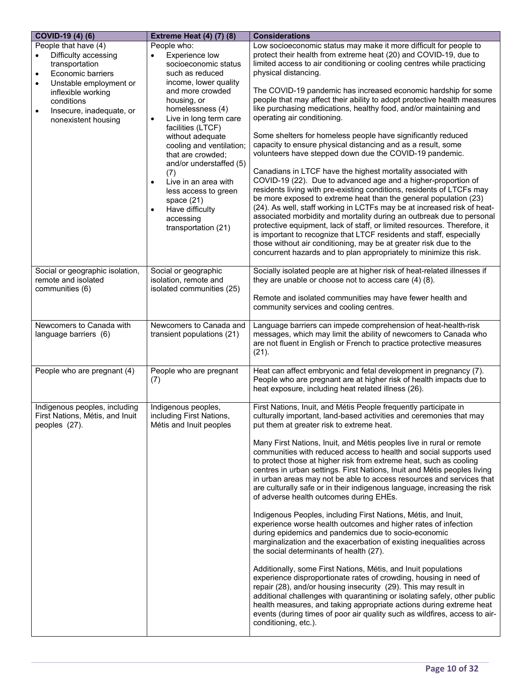| COVID-19 (4) (6)                                                                                                                                                                                                                            | <b>Extreme Heat (4) (7) (8)</b>                                                                                                                                                                                                                                                                                                                                                                                                                                              | <b>Considerations</b>                                                                                                                                                                                                                                                                                                                                                                                                                                                                                                                                                                                                                                                                                                                                                                                                                                                                                                                                                                                                                                                                                                                                                                                                                                                                                                                                                                                                                                                  |
|---------------------------------------------------------------------------------------------------------------------------------------------------------------------------------------------------------------------------------------------|------------------------------------------------------------------------------------------------------------------------------------------------------------------------------------------------------------------------------------------------------------------------------------------------------------------------------------------------------------------------------------------------------------------------------------------------------------------------------|------------------------------------------------------------------------------------------------------------------------------------------------------------------------------------------------------------------------------------------------------------------------------------------------------------------------------------------------------------------------------------------------------------------------------------------------------------------------------------------------------------------------------------------------------------------------------------------------------------------------------------------------------------------------------------------------------------------------------------------------------------------------------------------------------------------------------------------------------------------------------------------------------------------------------------------------------------------------------------------------------------------------------------------------------------------------------------------------------------------------------------------------------------------------------------------------------------------------------------------------------------------------------------------------------------------------------------------------------------------------------------------------------------------------------------------------------------------------|
| People that have (4)<br>Difficulty accessing<br>transportation<br>Economic barriers<br>$\bullet$<br>Unstable employment or<br>$\bullet$<br>inflexible working<br>conditions<br>Insecure, inadequate, or<br>$\bullet$<br>nonexistent housing | People who:<br>Experience low<br>socioeconomic status<br>such as reduced<br>income, lower quality<br>and more crowded<br>housing, or<br>homelessness (4)<br>Live in long term care<br>$\bullet$<br>facilities (LTCF)<br>without adequate<br>cooling and ventilation;<br>that are crowded;<br>and/or understaffed (5)<br>(7)<br>Live in an area with<br>$\bullet$<br>less access to green<br>space $(21)$<br>Have difficulty<br>$\bullet$<br>accessing<br>transportation (21) | Low socioeconomic status may make it more difficult for people to<br>protect their health from extreme heat (20) and COVID-19, due to<br>limited access to air conditioning or cooling centres while practicing<br>physical distancing.<br>The COVID-19 pandemic has increased economic hardship for some<br>people that may affect their ability to adopt protective health measures<br>like purchasing medications, healthy food, and/or maintaining and<br>operating air conditioning.<br>Some shelters for homeless people have significantly reduced<br>capacity to ensure physical distancing and as a result, some<br>volunteers have stepped down due the COVID-19 pandemic.<br>Canadians in LTCF have the highest mortality associated with<br>COVID-19 (22). Due to advanced age and a higher-proportion of<br>residents living with pre-existing conditions, residents of LTCFs may<br>be more exposed to extreme heat than the general population (23)<br>(24). As well, staff working in LCTFs may be at increased risk of heat-<br>associated morbidity and mortality during an outbreak due to personal<br>protective equipment, lack of staff, or limited resources. Therefore, it<br>is important to recognize that LTCF residents and staff, especially<br>those without air conditioning, may be at greater risk due to the<br>concurrent hazards and to plan appropriately to minimize this risk.                                                  |
| Social or geographic isolation,<br>remote and isolated<br>communities (6)                                                                                                                                                                   | Social or geographic<br>isolation, remote and<br>isolated communities (25)                                                                                                                                                                                                                                                                                                                                                                                                   | Socially isolated people are at higher risk of heat-related illnesses if<br>they are unable or choose not to access care (4) (8).<br>Remote and isolated communities may have fewer health and<br>community services and cooling centres.                                                                                                                                                                                                                                                                                                                                                                                                                                                                                                                                                                                                                                                                                                                                                                                                                                                                                                                                                                                                                                                                                                                                                                                                                              |
| Newcomers to Canada with<br>language barriers (6)                                                                                                                                                                                           | Newcomers to Canada and<br>transient populations (21)                                                                                                                                                                                                                                                                                                                                                                                                                        | Language barriers can impede comprehension of heat-health-risk<br>messages, which may limit the ability of newcomers to Canada who<br>are not fluent in English or French to practice protective measures<br>(21).                                                                                                                                                                                                                                                                                                                                                                                                                                                                                                                                                                                                                                                                                                                                                                                                                                                                                                                                                                                                                                                                                                                                                                                                                                                     |
| People who are pregnant (4)                                                                                                                                                                                                                 | People who are pregnant<br>(7)                                                                                                                                                                                                                                                                                                                                                                                                                                               | Heat can affect embryonic and fetal development in pregnancy (7).<br>People who are pregnant are at higher risk of health impacts due to<br>heat exposure, including heat related illness (26).                                                                                                                                                                                                                                                                                                                                                                                                                                                                                                                                                                                                                                                                                                                                                                                                                                                                                                                                                                                                                                                                                                                                                                                                                                                                        |
| Indigenous peoples, including<br>First Nations, Métis, and Inuit<br>peoples (27).                                                                                                                                                           | Indigenous peoples,<br>including First Nations,<br>Métis and Inuit peoples                                                                                                                                                                                                                                                                                                                                                                                                   | First Nations, Inuit, and Métis People frequently participate in<br>culturally important, land-based activities and ceremonies that may<br>put them at greater risk to extreme heat.<br>Many First Nations, Inuit, and Métis peoples live in rural or remote<br>communities with reduced access to health and social supports used<br>to protect those at higher risk from extreme heat, such as cooling<br>centres in urban settings. First Nations, Inuit and Métis peoples living<br>in urban areas may not be able to access resources and services that<br>are culturally safe or in their indigenous language, increasing the risk<br>of adverse health outcomes during EHEs.<br>Indigenous Peoples, including First Nations, Métis, and Inuit,<br>experience worse health outcomes and higher rates of infection<br>during epidemics and pandemics due to socio-economic<br>marginalization and the exacerbation of existing inequalities across<br>the social determinants of health (27).<br>Additionally, some First Nations, Métis, and Inuit populations<br>experience disproportionate rates of crowding, housing in need of<br>repair (28), and/or housing insecurity (29). This may result in<br>additional challenges with quarantining or isolating safely, other public<br>health measures, and taking appropriate actions during extreme heat<br>events (during times of poor air quality such as wildfires, access to air-<br>conditioning, etc.). |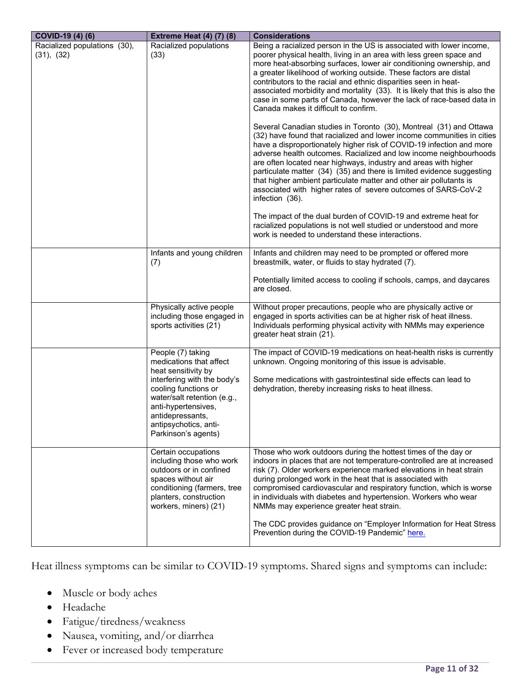| COVID-19 (4) (6)                           | <b>Extreme Heat (4) (7) (8)</b>                                                                                                                                                    | <b>Considerations</b>                                                                                                                                                                                                                                                                                                                                                                                                                                                                                                                                                                                                            |
|--------------------------------------------|------------------------------------------------------------------------------------------------------------------------------------------------------------------------------------|----------------------------------------------------------------------------------------------------------------------------------------------------------------------------------------------------------------------------------------------------------------------------------------------------------------------------------------------------------------------------------------------------------------------------------------------------------------------------------------------------------------------------------------------------------------------------------------------------------------------------------|
| Racialized populations (30),<br>(31), (32) | Racialized populations<br>(33)                                                                                                                                                     | Being a racialized person in the US is associated with lower income,<br>poorer physical health, living in an area with less green space and<br>more heat-absorbing surfaces, lower air conditioning ownership, and<br>a greater likelihood of working outside. These factors are distal<br>contributors to the racial and ethnic disparities seen in heat-<br>associated morbidity and mortality (33). It is likely that this is also the<br>case in some parts of Canada, however the lack of race-based data in<br>Canada makes it difficult to confirm.<br>Several Canadian studies in Toronto (30), Montreal (31) and Ottawa |
|                                            |                                                                                                                                                                                    | (32) have found that racialized and lower income communities in cities<br>have a disproportionately higher risk of COVID-19 infection and more<br>adverse health outcomes. Racialized and low income neighbourhoods<br>are often located near highways, industry and areas with higher<br>particulate matter (34) (35) and there is limited evidence suggesting<br>that higher ambient particulate matter and other air pollutants is<br>associated with higher rates of severe outcomes of SARS-CoV-2<br>infection (36).                                                                                                        |
|                                            |                                                                                                                                                                                    | The impact of the dual burden of COVID-19 and extreme heat for<br>racialized populations is not well studied or understood and more<br>work is needed to understand these interactions.                                                                                                                                                                                                                                                                                                                                                                                                                                          |
|                                            | Infants and young children<br>(7)                                                                                                                                                  | Infants and children may need to be prompted or offered more<br>breastmilk, water, or fluids to stay hydrated (7).                                                                                                                                                                                                                                                                                                                                                                                                                                                                                                               |
|                                            |                                                                                                                                                                                    | Potentially limited access to cooling if schools, camps, and daycares<br>are closed.                                                                                                                                                                                                                                                                                                                                                                                                                                                                                                                                             |
|                                            | Physically active people<br>including those engaged in<br>sports activities (21)                                                                                                   | Without proper precautions, people who are physically active or<br>engaged in sports activities can be at higher risk of heat illness.<br>Individuals performing physical activity with NMMs may experience<br>greater heat strain (21).                                                                                                                                                                                                                                                                                                                                                                                         |
|                                            | People (7) taking<br>medications that affect<br>heat sensitivity by                                                                                                                | The impact of COVID-19 medications on heat-health risks is currently<br>unknown. Ongoing monitoring of this issue is advisable.                                                                                                                                                                                                                                                                                                                                                                                                                                                                                                  |
|                                            | interfering with the body's<br>cooling functions or<br>water/salt retention (e.g.,<br>anti-hypertensives,<br>antidepressants,<br>antipsychotics, anti-<br>Parkinson's agents)      | Some medications with gastrointestinal side effects can lead to<br>dehydration, thereby increasing risks to heat illness.                                                                                                                                                                                                                                                                                                                                                                                                                                                                                                        |
|                                            | Certain occupations<br>including those who work<br>outdoors or in confined<br>spaces without air<br>conditioning (farmers, tree<br>planters, construction<br>workers, miners) (21) | Those who work outdoors during the hottest times of the day or<br>indoors in places that are not temperature-controlled are at increased<br>risk (7). Older workers experience marked elevations in heat strain<br>during prolonged work in the heat that is associated with<br>compromised cardiovascular and respiratory function, which is worse<br>in individuals with diabetes and hypertension. Workers who wear<br>NMMs may experience greater heat strain.                                                                                                                                                               |
|                                            |                                                                                                                                                                                    | The CDC provides guidance on "Employer Information for Heat Stress<br>Prevention during the COVID-19 Pandemic" here.                                                                                                                                                                                                                                                                                                                                                                                                                                                                                                             |

Heat illness symptoms can be similar to COVID-19 symptoms. Shared signs and symptoms can include:

- Muscle or body aches
- Headache
- Fatigue/tiredness/weakness
- Nausea, vomiting, and/or diarrhea
- Fever or increased body temperature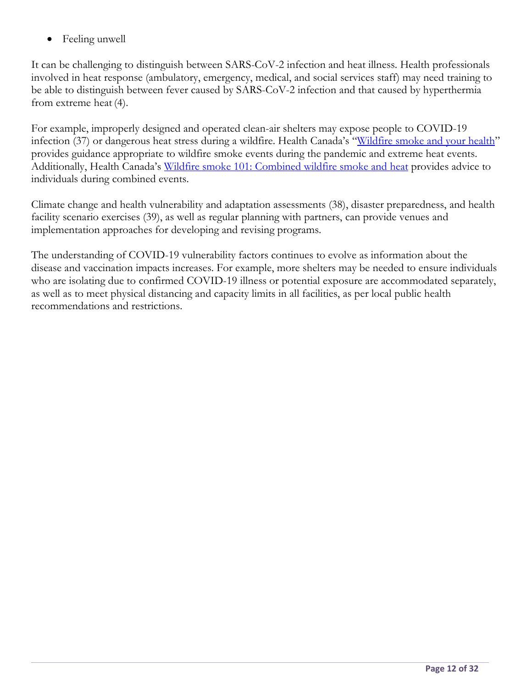Feeling unwell

It can be challenging to distinguish between SARS-CoV-2 infection and heat illness. Health professionals involved in heat response (ambulatory, emergency, medical, and social services staff) may need training to be able to distinguish between fever caused by SARS-CoV-2 infection and that caused by hyperthermia from extreme heat (4).

For example, improperly designed and operated clean-air shelters may expose people to COVID-19 infection (37) or dangerous heat stress during a wildfire. Health Canada's "Wildfire smoke and your health" provides guidance appropriate to wildfire smoke events during the pandemic and extreme heat events. Additionally, Health Canada's Wildfire smoke 101: Combined wildfire smoke and heat provides advice to individuals during combined events.

Climate change and health vulnerability and adaptation assessments (38), disaster preparedness, and health facility scenario exercises (39), as well as regular planning with partners, can provide venues and implementation approaches for developing and revising programs.

The understanding of COVID-19 vulnerability factors continues to evolve as information about the disease and vaccination impacts increases. For example, more shelters may be needed to ensure individuals who are isolating due to confirmed COVID-19 illness or potential exposure are accommodated separately, as well as to meet physical distancing and capacity limits in all facilities, as per local public health recommendations and restrictions.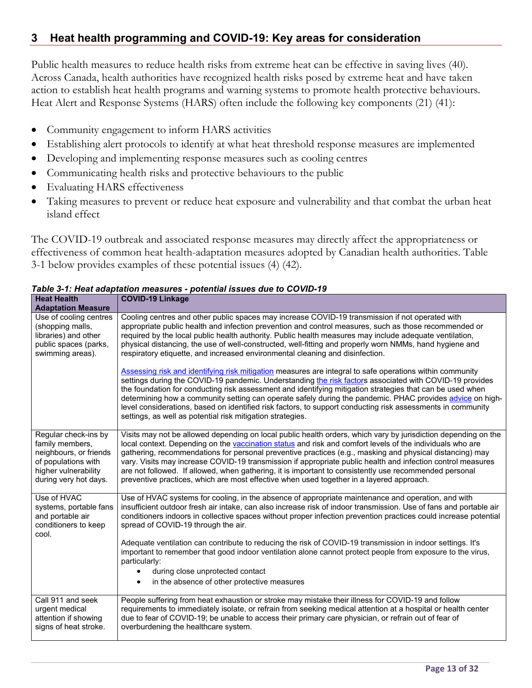#### **3 Heat health programming and COVID-19: Key areas for consideration**

Public health measures to reduce health risks from extreme heat can be effective in saving lives (40). Across Canada, health authorities have recognized health risks posed by extreme heat and have taken action to establish heat health programs and warning systems to promote health protective behaviours. Heat Alert and Response Systems (HARS) often include the following key components (21) (41):

- Community engagement to inform HARS activities
- Establishing alert protocols to identify at what heat threshold response measures are implemented
- Developing and implementing response measures such as cooling centres
- Communicating health risks and protective behaviours to the public
- Evaluating HARS effectiveness
- Taking measures to prevent or reduce heat exposure and vulnerability and that combat the urban heat island effect

The COVID-19 outbreak and associated response measures may directly affect the appropriateness or effectiveness of common heat health-adaptation measures adopted by Canadian health authorities. Table 3-1 below provides examples of these potential issues (4) (42).

| <b>Heat Health</b><br><b>Adaptation Measure</b>                                            | <b>COVID-19 Linkage</b>                                                                                                                                                                                                                                                                                                                                                                                                                                                                                                                                                                                                                                                                                                  |
|--------------------------------------------------------------------------------------------|--------------------------------------------------------------------------------------------------------------------------------------------------------------------------------------------------------------------------------------------------------------------------------------------------------------------------------------------------------------------------------------------------------------------------------------------------------------------------------------------------------------------------------------------------------------------------------------------------------------------------------------------------------------------------------------------------------------------------|
| Use of cooling centres                                                                     | Cooling centres and other public spaces may increase COVID-19 transmission if not operated with                                                                                                                                                                                                                                                                                                                                                                                                                                                                                                                                                                                                                          |
| (shopping malls,                                                                           | appropriate public health and infection prevention and control measures, such as those recommended or                                                                                                                                                                                                                                                                                                                                                                                                                                                                                                                                                                                                                    |
| libraries) and other                                                                       | required by the local public health authority. Public health measures may include adequate ventilation,                                                                                                                                                                                                                                                                                                                                                                                                                                                                                                                                                                                                                  |
| public spaces (parks,                                                                      | physical distancing, the use of well-constructed, well-fitting and properly worn NMMs, hand hygiene and                                                                                                                                                                                                                                                                                                                                                                                                                                                                                                                                                                                                                  |
| swimming areas).                                                                           | respiratory etiquette, and increased environmental cleaning and disinfection.                                                                                                                                                                                                                                                                                                                                                                                                                                                                                                                                                                                                                                            |
|                                                                                            | Assessing risk and identifying risk mitigation measures are integral to safe operations within community<br>settings during the COVID-19 pandemic. Understanding the risk factors associated with COVID-19 provides<br>the foundation for conducting risk assessment and identifying mitigation strategies that can be used when<br>determining how a community setting can operate safely during the pandemic. PHAC provides advice on high-<br>level considerations, based on identified risk factors, to support conducting risk assessments in community<br>settings, as well as potential risk mitigation strategies.                                                                                               |
| Regular check-ins by                                                                       | Visits may not be allowed depending on local public health orders, which vary by jurisdiction depending on the                                                                                                                                                                                                                                                                                                                                                                                                                                                                                                                                                                                                           |
| family members,                                                                            | local context. Depending on the vaccination status and risk and comfort levels of the individuals who are                                                                                                                                                                                                                                                                                                                                                                                                                                                                                                                                                                                                                |
| neighbours, or friends                                                                     | gathering, recommendations for personal preventive practices (e.g., masking and physical distancing) may                                                                                                                                                                                                                                                                                                                                                                                                                                                                                                                                                                                                                 |
| of populations with                                                                        | vary. Visits may increase COVID-19 transmission if appropriate public health and infection control measures                                                                                                                                                                                                                                                                                                                                                                                                                                                                                                                                                                                                              |
| higher vulnerability                                                                       | are not followed. If allowed, when gathering, it is important to consistently use recommended personal                                                                                                                                                                                                                                                                                                                                                                                                                                                                                                                                                                                                                   |
| during very hot days.                                                                      | preventive practices, which are most effective when used together in a layered approach.                                                                                                                                                                                                                                                                                                                                                                                                                                                                                                                                                                                                                                 |
| Use of HVAC<br>systems, portable fans<br>and portable air<br>conditioners to keep<br>cool. | Use of HVAC systems for cooling, in the absence of appropriate maintenance and operation, and with<br>insufficient outdoor fresh air intake, can also increase risk of indoor transmission. Use of fans and portable air<br>conditioners indoors in collective spaces without proper infection prevention practices could increase potential<br>spread of COVID-19 through the air.<br>Adequate ventilation can contribute to reducing the risk of COVID-19 transmission in indoor settings. It's<br>important to remember that good indoor ventilation alone cannot protect people from exposure to the virus,<br>particularly:<br>during close unprotected contact<br>in the absence of other protective measures<br>٠ |
| Call 911 and seek                                                                          | People suffering from heat exhaustion or stroke may mistake their illness for COVID-19 and follow                                                                                                                                                                                                                                                                                                                                                                                                                                                                                                                                                                                                                        |
| urgent medical                                                                             | requirements to immediately isolate, or refrain from seeking medical attention at a hospital or health center                                                                                                                                                                                                                                                                                                                                                                                                                                                                                                                                                                                                            |
| attention if showing                                                                       | due to fear of COVID-19; be unable to access their primary care physician, or refrain out of fear of                                                                                                                                                                                                                                                                                                                                                                                                                                                                                                                                                                                                                     |
| signs of heat stroke.                                                                      | overburdening the healthcare system.                                                                                                                                                                                                                                                                                                                                                                                                                                                                                                                                                                                                                                                                                     |

*Table 3-1: Heat adaptation measures - potential issues due to COVID-19*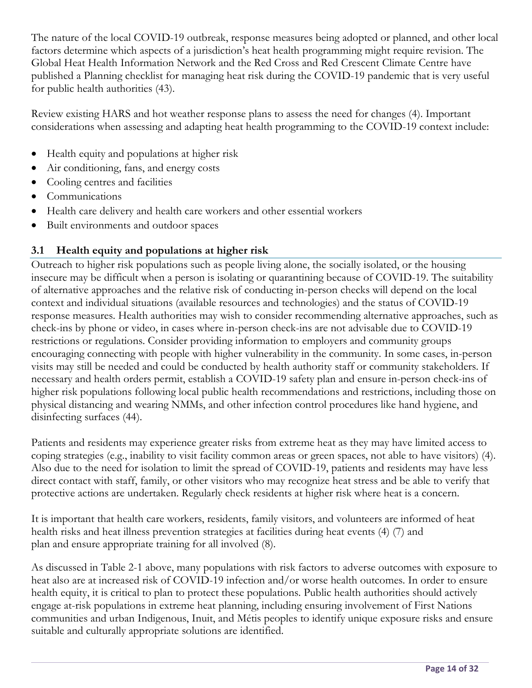The nature of the local COVID-19 outbreak, response measures being adopted or planned, and other local factors determine which aspects of a jurisdiction's heat health programming might require revision. The Global Heat Health Information Network and the Red Cross and Red Crescent Climate Centre have published a Planning checklist for managing heat risk during the COVID-19 pandemic that is very useful for public health authorities (43).

Review existing HARS and hot weather response plans to assess the need for changes (4). Important considerations when assessing and adapting heat health programming to the COVID-19 context include:

- Health equity and populations at higher risk
- Air conditioning, fans, and energy costs
- Cooling centres and facilities
- Communications
- Health care delivery and health care workers and other essential workers
- Built environments and outdoor spaces

## **3.1 Health equity and populations at higher risk**

Outreach to higher risk populations such as people living alone, the socially isolated, or the housing insecure may be difficult when a person is isolating or quarantining because of COVID-19. The suitability of alternative approaches and the relative risk of conducting in-person checks will depend on the local context and individual situations (available resources and technologies) and the status of COVID-19 response measures. Health authorities may wish to consider recommending alternative approaches, such as check-ins by phone or video, in cases where in-person check-ins are not advisable due to COVID-19 restrictions or regulations. Consider providing information to employers and community groups encouraging connecting with people with higher vulnerability in the community. In some cases, in-person visits may still be needed and could be conducted by health authority staff or community stakeholders. If necessary and health orders permit, establish a COVID-19 safety plan and ensure in-person check-ins of higher risk populations following local public health recommendations and restrictions, including those on physical distancing and wearing NMMs, and other infection control procedures like hand hygiene, and disinfecting surfaces (44).

Patients and residents may experience greater risks from extreme heat as they may have limited access to coping strategies (e.g., inability to visit facility common areas or green spaces, not able to have visitors) (4). Also due to the need for isolation to limit the spread of COVID-19, patients and residents may have less direct contact with staff, family, or other visitors who may recognize heat stress and be able to verify that protective actions are undertaken. Regularly check residents at higher risk where heat is a concern.

It is important that health care workers, residents, family visitors, and volunteers are informed of heat health risks and heat illness prevention strategies at facilities during heat events (4) (7) and plan and ensure appropriate training for all involved (8).

As discussed in Table 2-1 above, many populations with risk factors to adverse outcomes with exposure to heat also are at increased risk of COVID-19 infection and/or worse health outcomes. In order to ensure health equity, it is critical to plan to protect these populations. Public health authorities should actively engage at-risk populations in extreme heat planning, including ensuring involvement of First Nations communities and urban Indigenous, Inuit, and Métis peoples to identify unique exposure risks and ensure suitable and culturally appropriate solutions are identified.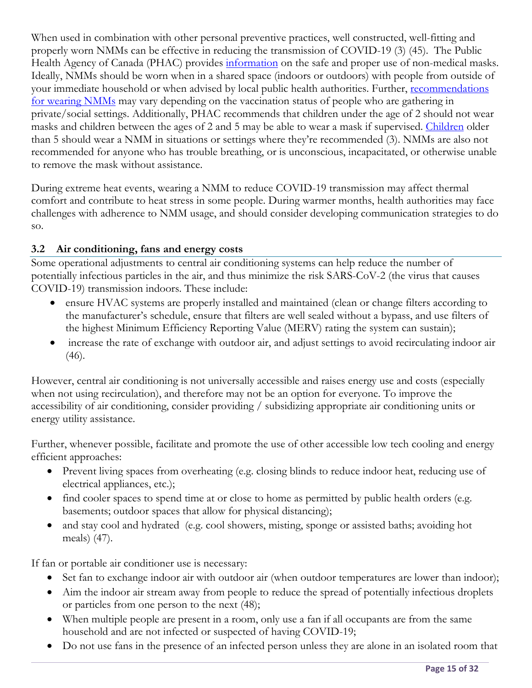When used in combination with other personal preventive practices, well constructed, well-fitting and properly worn NMMs can be effective in reducing the transmission of COVID-19 (3) (45). The Public Health Agency of Canada (PHAC) provides information on the safe and proper use of non-medical masks. Ideally, NMMs should be worn when in a shared space (indoors or outdoors) with people from outside of your immediate household or when advised by local public health authorities. Further, recommendations for wearing NMMs may vary depending on the vaccination status of people who are gathering in private/social settings. Additionally, PHAC recommends that children under the age of 2 should not wear masks and children between the ages of 2 and 5 may be able to wear a mask if supervised. Children older than 5 should wear a NMM in situations or settings where they're recommended (3). NMMs are also not recommended for anyone who has trouble breathing, or is unconscious, incapacitated, or otherwise unable to remove the mask without assistance.

During extreme heat events, wearing a NMM to reduce COVID-19 transmission may affect thermal comfort and contribute to heat stress in some people. During warmer months, health authorities may face challenges with adherence to NMM usage, and should consider developing communication strategies to do so.

#### **3.2 Air conditioning, fans and energy costs**

Some operational adjustments to central air conditioning systems can help reduce the number of potentially infectious particles in the air, and thus minimize the risk SARS-CoV-2 (the virus that causes COVID-19) transmission indoors. These include:

- ensure HVAC systems are properly installed and maintained (clean or change filters according to the manufacturer's schedule, ensure that filters are well sealed without a bypass, and use filters of the highest Minimum Efficiency Reporting Value (MERV) rating the system can sustain);
- increase the rate of exchange with outdoor air, and adjust settings to avoid recirculating indoor air (46).

However, central air conditioning is not universally accessible and raises energy use and costs (especially when not using recirculation), and therefore may not be an option for everyone. To improve the accessibility of air conditioning, consider providing / subsidizing appropriate air conditioning units or energy utility assistance.

Further, whenever possible, facilitate and promote the use of other accessible low tech cooling and energy efficient approaches:

- Prevent living spaces from overheating (e.g. closing blinds to reduce indoor heat, reducing use of electrical appliances, etc.);
- find cooler spaces to spend time at or close to home as permitted by public health orders (e.g. basements; outdoor spaces that allow for physical distancing);
- and stay cool and hydrated (e.g. cool showers, misting, sponge or assisted baths; avoiding hot meals) (47).

If fan or portable air conditioner use is necessary:

- Set fan to exchange indoor air with outdoor air (when outdoor temperatures are lower than indoor);
- Aim the indoor air stream away from people to reduce the spread of potentially infectious droplets or particles from one person to the next (48);
- When multiple people are present in a room, only use a fan if all occupants are from the same household and are not infected or suspected of having COVID-19;
- Do not use fans in the presence of an infected person unless they are alone in an isolated room that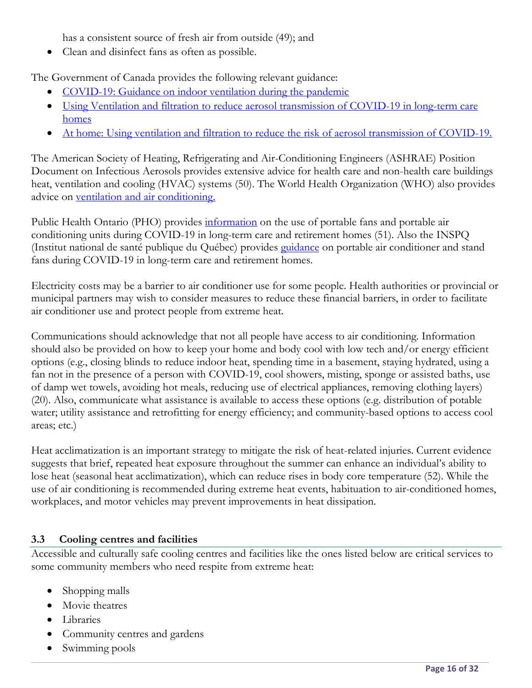has a consistent source of fresh air from outside (49); and

Clean and disinfect fans as often as possible.

The Government of Canada provides the following relevant guidance:

- COVID-19: Guidance on indoor ventilation during the pandemic
- Using Ventilation and filtration to reduce aerosol transmission of COVID-19 in long-term care homes
- At home: Using ventilation and filtration to reduce the risk of aerosol transmission of COVID-19.

The American Society of Heating, Refrigerating and Air-Conditioning Engineers (ASHRAE) Position Document on Infectious Aerosols provides extensive advice for health care and non-health care buildings heat, ventilation and cooling (HVAC) systems (50). The World Health Organization (WHO) also provides advice on ventilation and air conditioning.

Public Health Ontario (PHO) provides information on the use of portable fans and portable air conditioning units during COVID-19 in long-term care and retirement homes (51). Also the INSPQ (Institut national de santé publique du Québec) provides guidance on portable air conditioner and stand fans during COVID-19 in long-term care and retirement homes.

Electricity costs may be a barrier to air conditioner use for some people. Health authorities or provincial or municipal partners may wish to consider measures to reduce these financial barriers, in order to facilitate air conditioner use and protect people from extreme heat.

Communications should acknowledge that not all people have access to air conditioning. Information should also be provided on how to keep your home and body cool with low tech and/or energy efficient options (e.g., closing blinds to reduce indoor heat, spending time in a basement, staying hydrated, using a fan not in the presence of a person with COVID-19, cool showers, misting, sponge or assisted baths, use of damp wet towels, avoiding hot meals, reducing use of electrical appliances, removing clothing layers) (20). Also, communicate what assistance is available to access these options (e.g. distribution of potable water; utility assistance and retrofitting for energy efficiency; and community-based options to access cool areas; etc.)

Heat acclimatization is an important strategy to mitigate the risk of heat-related injuries. Current evidence suggests that brief, repeated heat exposure throughout the summer can enhance an individual's ability to lose heat (seasonal heat acclimatization), which can reduce rises in body core temperature (52). While the use of air conditioning is recommended during extreme heat events, habituation to air-conditioned homes, workplaces, and motor vehicles may prevent improvements in heat dissipation.

#### **3.3 Cooling centres and facilities**

Accessible and culturally safe cooling centres and facilities like the ones listed below are critical services to some community members who need respite from extreme heat:

- Shopping malls
- Movie theatres
- **·** Libraries
- Community centres and gardens
- Swimming pools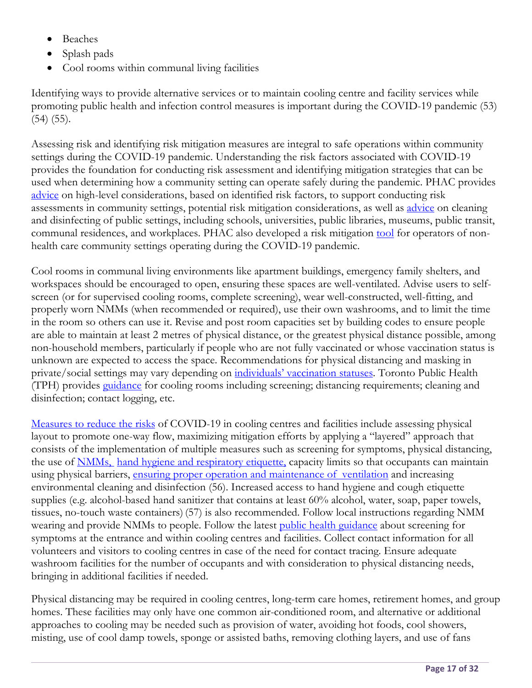- Beaches
- Splash pads
- Cool rooms within communal living facilities

Identifying ways to provide alternative services or to maintain cooling centre and facility services while promoting public health and infection control measures is important during the COVID-19 pandemic (53) (54) (55).

Assessing risk and identifying risk mitigation measures are integral to safe operations within community settings during the COVID-19 pandemic. Understanding the risk factors associated with COVID-19 provides the foundation for conducting risk assessment and identifying mitigation strategies that can be used when determining how a community setting can operate safely during the pandemic. PHAC provides advice on high-level considerations, based on identified risk factors, to support conducting risk assessments in community settings, potential risk mitigation considerations, as well as advice on cleaning and disinfecting of public settings, including schools, universities, public libraries, museums, public transit, communal residences, and workplaces. PHAC also developed a risk mitigation tool for operators of nonhealth care community settings operating during the COVID-19 pandemic.

Cool rooms in communal living environments like apartment buildings, emergency family shelters, and workspaces should be encouraged to open, ensuring these spaces are well-ventilated. Advise users to selfscreen (or for supervised cooling rooms, complete screening), wear well-constructed, well-fitting, and properly worn NMMs (when recommended or required), use their own washrooms, and to limit the time in the room so others can use it. Revise and post room capacities set by building codes to ensure people are able to maintain at least 2 metres of physical distance, or the greatest physical distance possible, among non-household members, particularly if people who are not fully vaccinated or whose vaccination status is unknown are expected to access the space. Recommendations for physical distancing and masking in private/social settings may vary depending on individuals' vaccination statuses. Toronto Public Health (TPH) provides guidance for cooling rooms including screening; distancing requirements; cleaning and disinfection; contact logging, etc.

Measures to reduce the risks of COVID-19 in cooling centres and facilities include assessing physical layout to promote one-way flow, maximizing mitigation efforts by applying a "layered" approach that consists of the implementation of multiple measures such as screening for symptoms, physical distancing, the use of <u>NMMs, hand hygiene and respiratory etiquette</u>, capacity limits so that occupants can maintain using physical barriers, ensuring proper operation and maintenance of ventilation and increasing environmental cleaning and disinfection (56). Increased access to hand hygiene and cough etiquette supplies (e.g. alcohol-based hand sanitizer that contains at least 60% alcohol, water, soap, paper towels, tissues, no-touch waste containers) (57) is also recommended. Follow local instructions regarding NMM wearing and provide NMMs to people. Follow the latest public health guidance about screening for symptoms at the entrance and within cooling centres and facilities. Collect contact information for all volunteers and visitors to cooling centres in case of the need for contact tracing. Ensure adequate washroom facilities for the number of occupants and with consideration to physical distancing needs, bringing in additional facilities if needed.

Physical distancing may be required in cooling centres, long-term care homes, retirement homes, and group homes. These facilities may only have one common air-conditioned room, and alternative or additional approaches to cooling may be needed such as provision of water, avoiding hot foods, cool showers, misting, use of cool damp towels, sponge or assisted baths, removing clothing layers, and use of fans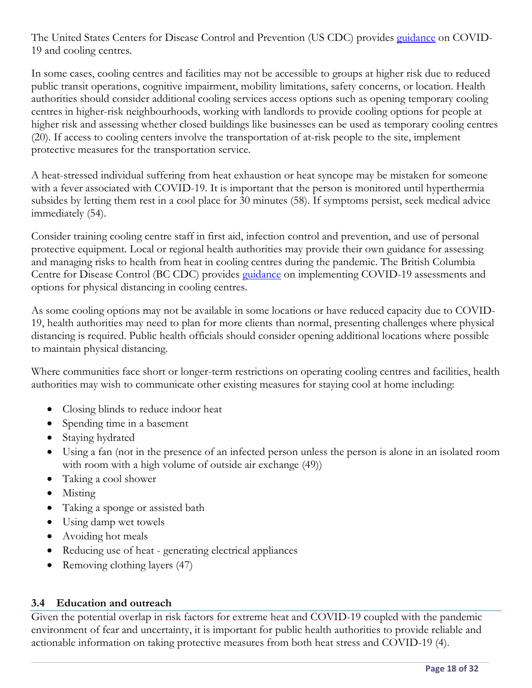The United States Centers for Disease Control and Prevention (US CDC) provides guidance on COVID-19 and cooling centres.

In some cases, cooling centres and facilities may not be accessible to groups at higher risk due to reduced public transit operations, cognitive impairment, mobility limitations, safety concerns, or location. Health authorities should consider additional cooling services access options such as opening temporary cooling centres in higher-risk neighbourhoods, working with landlords to provide cooling options for people at higher risk and assessing whether closed buildings like businesses can be used as temporary cooling centres (20). If access to cooling centers involve the transportation of at-risk people to the site, implement protective measures for the transportation service.

A heat-stressed individual suffering from heat exhaustion or heat syncope may be mistaken for someone with a fever associated with COVID-19. It is important that the person is monitored until hyperthermia subsides by letting them rest in a cool place for 30 minutes (58). If symptoms persist, seek medical advice immediately (54).

Consider training cooling centre staff in first aid, infection control and prevention, and use of personal protective equipment. Local or regional health authorities may provide their own guidance for assessing and managing risks to health from heat in cooling centres during the pandemic. The British Columbia Centre for Disease Control (BC CDC) provides *guidance* on implementing COVID-19 assessments and options for physical distancing in cooling centres.

As some cooling options may not be available in some locations or have reduced capacity due to COVID-19, health authorities may need to plan for more clients than normal, presenting challenges where physical distancing is required. Public health officials should consider opening additional locations where possible to maintain physical distancing.

Where communities face short or longer-term restrictions on operating cooling centres and facilities, health authorities may wish to communicate other existing measures for staying cool at home including:

- Closing blinds to reduce indoor heat
- Spending time in a basement
- Staying hydrated
- Using a fan (not in the presence of an infected person unless the person is alone in an isolated room with room with a high volume of outside air exchange (49))
- Taking a cool shower
- Misting
- Taking a sponge or assisted bath
- Using damp wet towels
- Avoiding hot meals
- Reducing use of heat generating electrical appliances
- Removing clothing layers (47)

#### **3.4 Education and outreach**

Given the potential overlap in risk factors for extreme heat and COVID-19 coupled with the pandemic environment of fear and uncertainty, it is important for public health authorities to provide reliable and actionable information on taking protective measures from both heat stress and COVID-19 (4).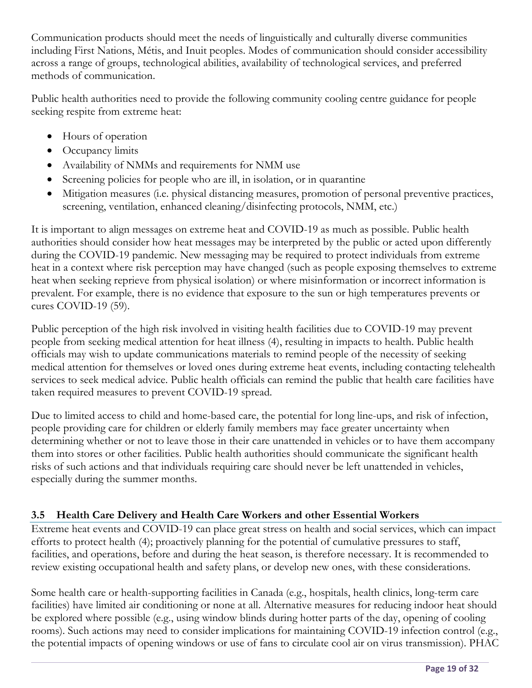Communication products should meet the needs of linguistically and culturally diverse communities including First Nations, Métis, and Inuit peoples. Modes of communication should consider accessibility across a range of groups, technological abilities, availability of technological services, and preferred methods of communication.

Public health authorities need to provide the following community cooling centre guidance for people seeking respite from extreme heat:

- Hours of operation
- Occupancy limits
- Availability of NMMs and requirements for NMM use
- Screening policies for people who are ill, in isolation, or in quarantine
- Mitigation measures (i.e. physical distancing measures, promotion of personal preventive practices, screening, ventilation, enhanced cleaning/disinfecting protocols, NMM, etc.)

It is important to align messages on extreme heat and COVID-19 as much as possible. Public health authorities should consider how heat messages may be interpreted by the public or acted upon differently during the COVID-19 pandemic. New messaging may be required to protect individuals from extreme heat in a context where risk perception may have changed (such as people exposing themselves to extreme heat when seeking reprieve from physical isolation) or where misinformation or incorrect information is prevalent. For example, there is no evidence that exposure to the sun or high temperatures prevents or cures COVID-19 (59).

Public perception of the high risk involved in visiting health facilities due to COVID-19 may prevent people from seeking medical attention for heat illness (4), resulting in impacts to health. Public health officials may wish to update communications materials to remind people of the necessity of seeking medical attention for themselves or loved ones during extreme heat events, including contacting telehealth services to seek medical advice. Public health officials can remind the public that health care facilities have taken required measures to prevent COVID-19 spread.

Due to limited access to child and home-based care, the potential for long line-ups, and risk of infection, people providing care for children or elderly family members may face greater uncertainty when determining whether or not to leave those in their care unattended in vehicles or to have them accompany them into stores or other facilities. Public health authorities should communicate the significant health risks of such actions and that individuals requiring care should never be left unattended in vehicles, especially during the summer months.

#### **3.5 Health Care Delivery and Health Care Workers and other Essential Workers**

Extreme heat events and COVID-19 can place great stress on health and social services, which can impact efforts to protect health (4); proactively planning for the potential of cumulative pressures to staff, facilities, and operations, before and during the heat season, is therefore necessary. It is recommended to review existing occupational health and safety plans, or develop new ones, with these considerations.

Some health care or health-supporting facilities in Canada (e.g., hospitals, health clinics, long-term care facilities) have limited air conditioning or none at all. Alternative measures for reducing indoor heat should be explored where possible (e.g., using window blinds during hotter parts of the day, opening of cooling rooms). Such actions may need to consider implications for maintaining COVID-19 infection control (e.g., the potential impacts of opening windows or use of fans to circulate cool air on virus transmission). PHAC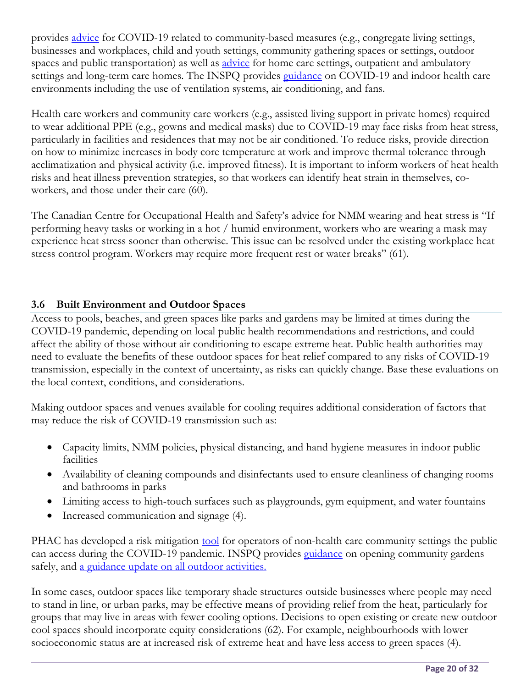provides advice for COVID-19 related to community-based measures (e.g., congregate living settings, businesses and workplaces, child and youth settings, community gathering spaces or settings, outdoor spaces and public transportation) as well as *advice* for home care settings, outpatient and ambulatory settings and long-term care homes. The INSPQ provides guidance on COVID-19 and indoor health care environments including the use of ventilation systems, air conditioning, and fans.

Health care workers and community care workers (e.g., assisted living support in private homes) required to wear additional PPE (e.g., gowns and medical masks) due to COVID-19 may face risks from heat stress, particularly in facilities and residences that may not be air conditioned. To reduce risks, provide direction on how to minimize increases in body core temperature at work and improve thermal tolerance through acclimatization and physical activity (i.e. improved fitness). It is important to inform workers of heat health risks and heat illness prevention strategies, so that workers can identify heat strain in themselves, coworkers, and those under their care (60).

The Canadian Centre for Occupational Health and Safety's advice for NMM wearing and heat stress is "If performing heavy tasks or working in a hot / humid environment, workers who are wearing a mask may experience heat stress sooner than otherwise. This issue can be resolved under the existing workplace heat stress control program. Workers may require more frequent rest or water breaks" (61).

#### **3.6 Built Environment and Outdoor Spaces**

Access to pools, beaches, and green spaces like parks and gardens may be limited at times during the COVID-19 pandemic, depending on local public health recommendations and restrictions, and could affect the ability of those without air conditioning to escape extreme heat. Public health authorities may need to evaluate the benefits of these outdoor spaces for heat relief compared to any risks of COVID-19 transmission, especially in the context of uncertainty, as risks can quickly change. Base these evaluations on the local context, conditions, and considerations.

Making outdoor spaces and venues available for cooling requires additional consideration of factors that may reduce the risk of COVID-19 transmission such as:

- Capacity limits, NMM policies, physical distancing, and hand hygiene measures in indoor public facilities
- Availability of cleaning compounds and disinfectants used to ensure cleanliness of changing rooms and bathrooms in parks
- Limiting access to high-touch surfaces such as playgrounds, gym equipment, and water fountains
- Increased communication and signage (4).

PHAC has developed a risk mitigation tool for operators of non-health care community settings the public can access during the COVID-19 pandemic. INSPQ provides *guidance* on opening community gardens safely, and a guidance update on all outdoor activities.

In some cases, outdoor spaces like temporary shade structures outside businesses where people may need to stand in line, or urban parks, may be effective means of providing relief from the heat, particularly for groups that may live in areas with fewer cooling options. Decisions to open existing or create new outdoor cool spaces should incorporate equity considerations (62). For example, neighbourhoods with lower socioeconomic status are at increased risk of extreme heat and have less access to green spaces (4).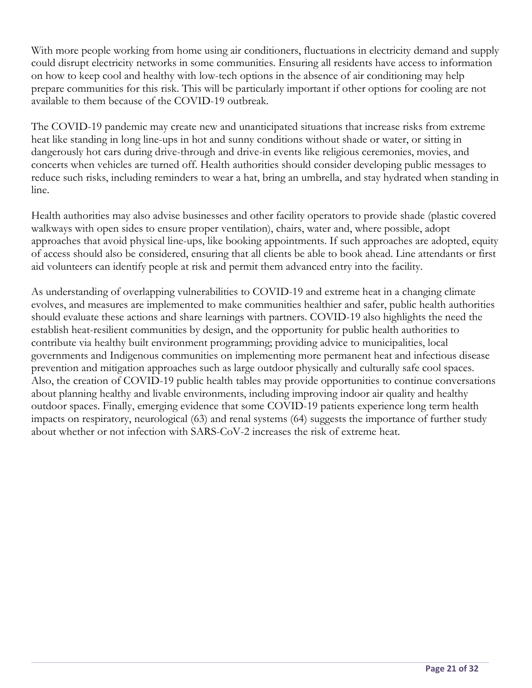With more people working from home using air conditioners, fluctuations in electricity demand and supply could disrupt electricity networks in some communities. Ensuring all residents have access to information on how to keep cool and healthy with low-tech options in the absence of air conditioning may help prepare communities for this risk. This will be particularly important if other options for cooling are not available to them because of the COVID-19 outbreak.

The COVID-19 pandemic may create new and unanticipated situations that increase risks from extreme heat like standing in long line-ups in hot and sunny conditions without shade or water, or sitting in dangerously hot cars during drive-through and drive-in events like religious ceremonies, movies, and concerts when vehicles are turned off. Health authorities should consider developing public messages to reduce such risks, including reminders to wear a hat, bring an umbrella, and stay hydrated when standing in line.

Health authorities may also advise businesses and other facility operators to provide shade (plastic covered walkways with open sides to ensure proper ventilation), chairs, water and, where possible, adopt approaches that avoid physical line-ups, like booking appointments. If such approaches are adopted, equity of access should also be considered, ensuring that all clients be able to book ahead. Line attendants or first aid volunteers can identify people at risk and permit them advanced entry into the facility.

As understanding of overlapping vulnerabilities to COVID-19 and extreme heat in a changing climate evolves, and measures are implemented to make communities healthier and safer, public health authorities should evaluate these actions and share learnings with partners. COVID-19 also highlights the need the establish heat-resilient communities by design, and the opportunity for public health authorities to contribute via healthy built environment programming; providing advice to municipalities, local governments and Indigenous communities on implementing more permanent heat and infectious disease prevention and mitigation approaches such as large outdoor physically and culturally safe cool spaces. Also, the creation of COVID-19 public health tables may provide opportunities to continue conversations about planning healthy and livable environments, including improving indoor air quality and healthy outdoor spaces. Finally, emerging evidence that some COVID-19 patients experience long term health impacts on respiratory, neurological (63) and renal systems (64) suggests the importance of further study about whether or not infection with SARS-CoV-2 increases the risk of extreme heat.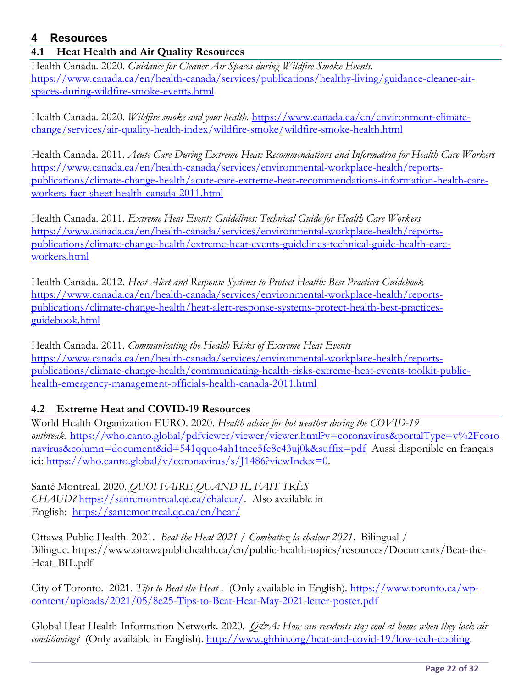#### **4 Resources**

#### **4.1 Heat Health and Air Quality Resources**

Health Canada. 2020. *Guidance for Cleaner Air Spaces during Wildfire Smoke Events.*  https://www.canada.ca/en/health-canada/services/publications/healthy-living/guidance-cleaner-airspaces-during-wildfire-smoke-events.html

Health Canada. 2020. *Wildfire smoke and your health.* https://www.canada.ca/en/environment-climatechange/services/air-quality-health-index/wildfire-smoke/wildfire-smoke-health.html

Health Canada. 2011. *Acute Care During Extreme Heat: Recommendations and Information for Health Care Workers* https://www.canada.ca/en/health-canada/services/environmental-workplace-health/reportspublications/climate-change-health/acute-care-extreme-heat-recommendations-information-health-careworkers-fact-sheet-health-canada-2011.html

Health Canada. 2011*. Extreme Heat Events Guidelines: Technical Guide for Health Care Workers* https://www.canada.ca/en/health-canada/services/environmental-workplace-health/reportspublications/climate-change-health/extreme-heat-events-guidelines-technical-guide-health-careworkers.html

Health Canada. 2012*. Heat Alert and Response Systems to Protect Health: Best Practices Guidebook* https://www.canada.ca/en/health-canada/services/environmental-workplace-health/reportspublications/climate-change-health/heat-alert-response-systems-protect-health-best-practicesguidebook.html

Health Canada. 2011. *Communicating the Health Risks of Extreme Heat Events* https://www.canada.ca/en/health-canada/services/environmental-workplace-health/reportspublications/climate-change-health/communicating-health-risks-extreme-heat-events-toolkit-publichealth-emergency-management-officials-health-canada-2011.html

#### **4.2 Extreme Heat and COVID-19 Resources**

World Health Organization EURO. 2020. *Health advice for hot weather during the COVID-19 outbreak*. https://who.canto.global/pdfviewer/viewer/viewer.html?v=coronavirus&portalType=v%2Fcoro navirus&column=document&id=541qquo4ah1tnee5fe8c43uj0k&suffix=pdf Aussi disponible en français ici: https://who.canto.global/v/coronavirus/s/J1486?viewIndex=0.

Santé Montreal. 2020. *QUOI FAIRE QUAND IL FAIT TRÈS CHAUD?* https://santemontreal.qc.ca/chaleur/. Also available in English: https://santemontreal.qc.ca/en/heat/

Ottawa Public Health. 2021. *Beat the Heat 2021 / Combattez la chaleur 2021*. Bilingual / Bilingue. https://www.ottawapublichealth.ca/en/public-health-topics/resources/Documents/Beat-the-Heat\_BIL.pdf

City of Toronto. 2021. *Tips to Beat the Heat* . (Only available in English). https://www.toronto.ca/wpcontent/uploads/2021/05/8e25-Tips-to-Beat-Heat-May-2021-letter-poster.pdf

Global Heat Health Information Network. 2020. *Q&A: How can residents stay cool at home when they lack air conditioning?* (Only available in English). http://www.ghhin.org/heat-and-covid-19/low-tech-cooling.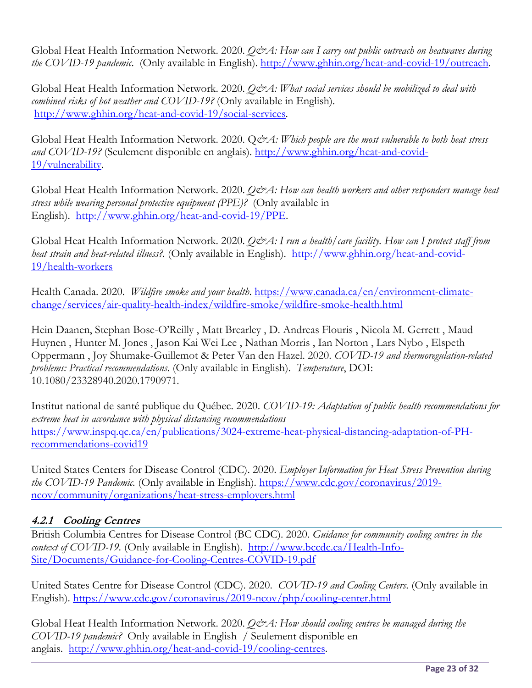Global Heat Health Information Network. 2020. *Q&A: How can I carry out public outreach on heatwaves during the COVID-19 pandemic*. (Only available in English). http://www.ghhin.org/heat-and-covid-19/outreach.

Global Heat Health Information Network. 2020. *O&A: What social services should be mobilized to deal with combined risks of hot weather and COVID-19?* (Only available in English). http://www.ghhin.org/heat-and-covid-19/social-services.

Global Heat Health Information Network. 2020. Q&A: Which people are the most vulnerable to both heat stress *and COVID-19?* (Seulement disponible en anglais). http://www.ghhin.org/heat-and-covid-19/vulnerability.

Global Heat Health Information Network. 2020. *Q&A: How can health workers and other responders manage heat stress while wearing personal protective equipment (PPE)?* (Only available in English). http://www.ghhin.org/heat-and-covid-19/PPE.

Global Heat Health Information Network. 2020. *Q&A: I run a health/care facility*. How can I protect staff from *heat strain and heat-related illness?.* (Only available in English). http://www.ghhin.org/heat-and-covid-19/health-workers

Health Canada. 2020. *Wildfire smoke and your health*. https://www.canada.ca/en/environment-climatechange/services/air-quality-health-index/wildfire-smoke/wildfire-smoke-health.html

Hein Daanen, Stephan Bose-O'Reilly , Matt Brearley , D. Andreas Flouris , Nicola M. Gerrett , Maud Huynen , Hunter M. Jones , Jason Kai Wei Lee , Nathan Morris , Ian Norton , Lars Nybo , Elspeth Oppermann , Joy Shumake-Guillemot & Peter Van den Hazel. 2020. *COVID-19 and thermoregulation-related problems: Practical recommendations*. (Only available in English). *Temperature*, DOI: 10.1080/23328940.2020.1790971.

Institut national de santé publique du Québec. 2020. *COVID-19: Adaptation of public health recommendations for extreme heat in accordance with physical distancing recommendations* https://www.inspq.qc.ca/en/publications/3024-extreme-heat-physical-distancing-adaptation-of-PHrecommendations-covid19

United States Centers for Disease Control (CDC). 2020. *Employer Information for Heat Stress Prevention during the COVID-19 Pandemic.* (Only available in English). https://www.cdc.gov/coronavirus/2019 ncov/community/organizations/heat-stress-employers.html

#### **4.2.1 Cooling Centres**

British Columbia Centres for Disease Control (BC CDC). 2020. *Guidance for community cooling centres in the context of COVID-19.* (Only available in English). http://www.bccdc.ca/Health-Info-Site/Documents/Guidance-for-Cooling-Centres-COVID-19.pdf

United States Centre for Disease Control (CDC). 2020. *COVID-19 and Cooling Centers*. (Only available in English). https://www.cdc.gov/coronavirus/2019-ncov/php/cooling-center.html

Global Heat Health Information Network. 2020. *Q&A: How should cooling centres be managed during the COVID-19 pandemic?* Only available in English / Seulement disponible en anglais. http://www.ghhin.org/heat-and-covid-19/cooling-centres.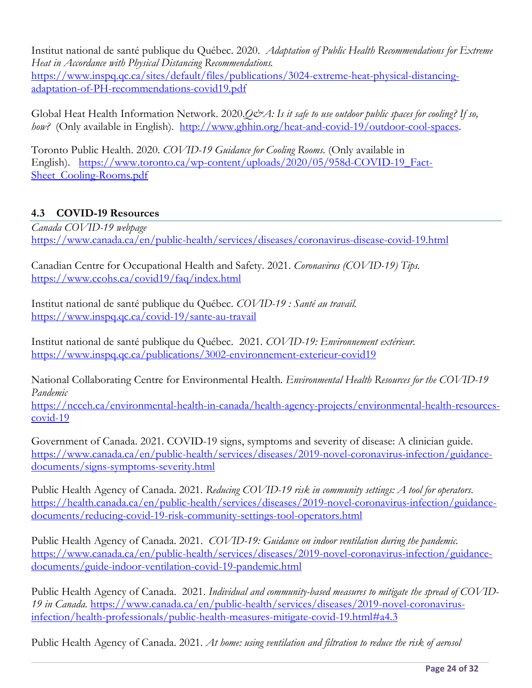Institut national de santé publique du Québec. 2020. *Adaptation of Public Health Recommendations for Extreme Heat in Accordance with Physical Distancing Recommendations.*

https://www.inspq.qc.ca/sites/default/files/publications/3024-extreme-heat-physical-distancingadaptation-of-PH-recommendations-covid19.pdf

Global Heat Health Information Network. 2020.*Q&A: Is it safe to use outdoor public spaces for cooling? If so,* how? (Only available in English). http://www.ghhin.org/heat-and-covid-19/outdoor-cool-spaces.

Toronto Public Health. 2020. *COVID-19 Guidance for Cooling Rooms*. (Only available in English). https://www.toronto.ca/wp-content/uploads/2020/05/958d-COVID-19\_Fact-Sheet\_Cooling-Rooms.pdf

#### **4.3 COVID-19 Resources**

*Canada COVID-19 webpage*  https://www.canada.ca/en/public-health/services/diseases/coronavirus-disease-covid-19.html

Canadian Centre for Occupational Health and Safety. 2021. *Coronavirus (COVID-19) Tips.* https://www.ccohs.ca/covid19/faq/index.html

Institut national de santé publique du Québec. *COVID-19 : Santé au travail.* https://www.inspq.qc.ca/covid-19/sante-au-travail

Institut national de santé publique du Québec. 2021*. COVID-19: Environnement extérieur.* https://www.inspq.qc.ca/publications/3002-environnement-exterieur-covid19

National Collaborating Centre for Environmental Health*. Environmental Health Resources for the COVID-19 Pandemic*

https://ncceh.ca/environmental-health-in-canada/health-agency-projects/environmental-health-resourcescovid-19

Government of Canada. 2021. COVID-19 signs, symptoms and severity of disease: A clinician guide. https://www.canada.ca/en/public-health/services/diseases/2019-novel-coronavirus-infection/guidancedocuments/signs-symptoms-severity.html

Public Health Agency of Canada. 2021. *Reducing COVID-19 risk in community settings: A tool for operators*. https://health.canada.ca/en/public-health/services/diseases/2019-novel-coronavirus-infection/guidancedocuments/reducing-covid-19-risk-community-settings-tool-operators.html

Public Health Agency of Canada. 2021. *COVID-19: Guidance on indoor ventilation during the pandemic.* https://www.canada.ca/en/public-health/services/diseases/2019-novel-coronavirus-infection/guidancedocuments/guide-indoor-ventilation-covid-19-pandemic.html

Public Health Agency of Canada. 2021. *Individual and community-based measures to mitigate the spread of COVID-19 in Canada.* https://www.canada.ca/en/public-health/services/diseases/2019-novel-coronavirusinfection/health-professionals/public-health-measures-mitigate-covid-19.html#a4.3

Public Health Agency of Canada. 2021*. At home: using ventilation and filtration to reduce the risk of aerosol*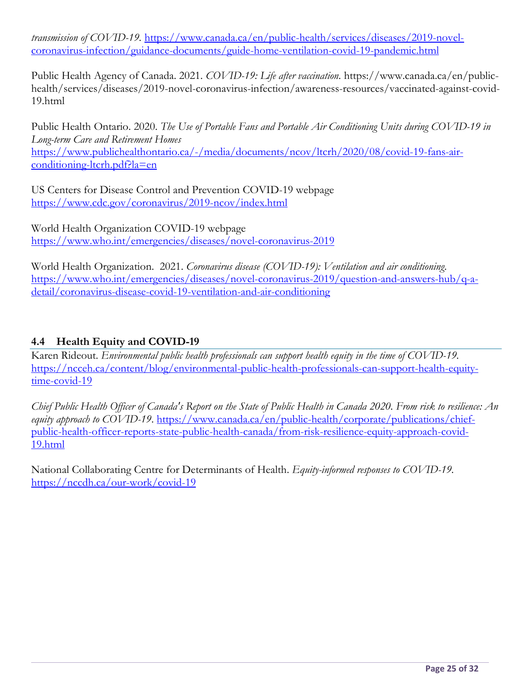*transmission of COVID-19.* https://www.canada.ca/en/public-health/services/diseases/2019-novelcoronavirus-infection/guidance-documents/guide-home-ventilation-covid-19-pandemic.html

Public Health Agency of Canada. 2021. *COVID-19: Life after vaccination*. https://www.canada.ca/en/publichealth/services/diseases/2019-novel-coronavirus-infection/awareness-resources/vaccinated-against-covid-19.html

Public Health Ontario. 2020. *The Use of Portable Fans and Portable Air Conditioning Units during COVID-19 in Long-term Care and Retirement Homes* https://www.publichealthontario.ca/-/media/documents/ncov/ltcrh/2020/08/covid-19-fans-airconditioning-ltcrh.pdf?la=en

US Centers for Disease Control and Prevention COVID-19 webpage https://www.cdc.gov/coronavirus/2019-ncov/index.html

World Health Organization COVID-19 webpage https://www.who.int/emergencies/diseases/novel-coronavirus-2019

World Health Organization. 2021. *Coronavirus disease (COVID-19): Ventilation and air conditioning*. https://www.who.int/emergencies/diseases/novel-coronavirus-2019/question-and-answers-hub/q-adetail/coronavirus-disease-covid-19-ventilation-and-air-conditioning

#### **4.4 Health Equity and COVID-19**

Karen Rideout. *Environmental public health professionals can support health equity in the time of COVID-19.*  https://ncceh.ca/content/blog/environmental-public-health-professionals-can-support-health-equitytime-covid-19

*Chief Public Health Officer of Canada's Report on the State of Public Health in Canada 2020. From risk to resilience: An equity approach to COVID-19.* https://www.canada.ca/en/public-health/corporate/publications/chiefpublic-health-officer-reports-state-public-health-canada/from-risk-resilience-equity-approach-covid-19.html

National Collaborating Centre for Determinants of Health. *Equity-informed responses to COVID-19.* https://nccdh.ca/our-work/covid-19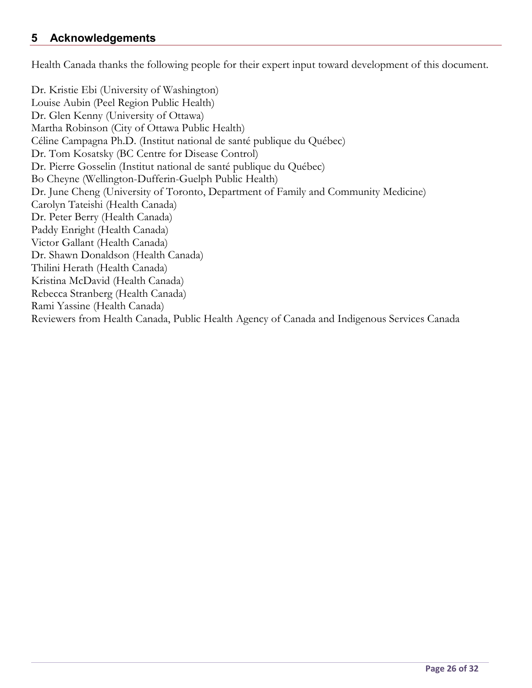#### **5 Acknowledgements**

Health Canada thanks the following people for their expert input toward development of this document.

Dr. Kristie Ebi (University of Washington) Louise Aubin (Peel Region Public Health) Dr. Glen Kenny (University of Ottawa) Martha Robinson (City of Ottawa Public Health) Céline Campagna Ph.D. (Institut national de santé publique du Québec) Dr. Tom Kosatsky (BC Centre for Disease Control) Dr. Pierre Gosselin (Institut national de santé publique du Québec) Bo Cheyne (Wellington-Dufferin-Guelph Public Health) Dr. June Cheng (University of Toronto, Department of Family and Community Medicine) Carolyn Tateishi (Health Canada) Dr. Peter Berry (Health Canada) Paddy Enright (Health Canada) Victor Gallant (Health Canada) Dr. Shawn Donaldson (Health Canada) Thilini Herath (Health Canada) Kristina McDavid (Health Canada) Rebecca Stranberg (Health Canada) Rami Yassine (Health Canada) Reviewers from Health Canada, Public Health Agency of Canada and Indigenous Services Canada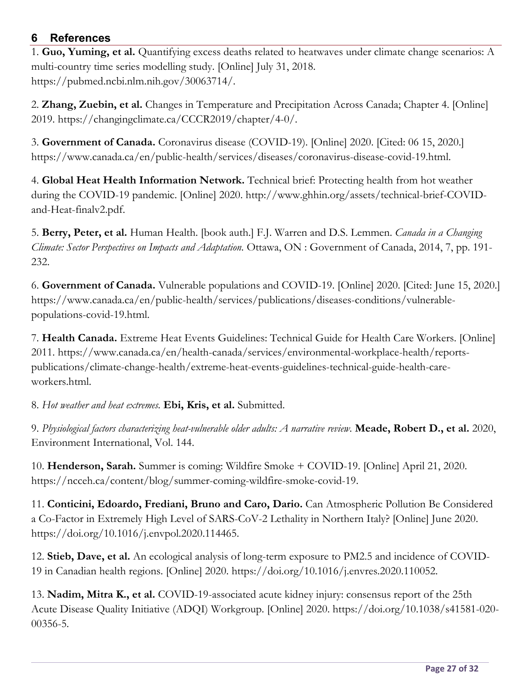#### **6 References**

1. **Guo, Yuming, et al.** Quantifying excess deaths related to heatwaves under climate change scenarios: A multi-country time series modelling study. [Online] July 31, 2018. https://pubmed.ncbi.nlm.nih.gov/30063714/.

2. **Zhang, Zuebin, et al.** Changes in Temperature and Precipitation Across Canada; Chapter 4. [Online] 2019. https://changingclimate.ca/CCCR2019/chapter/4-0/.

3. **Government of Canada.** Coronavirus disease (COVID-19). [Online] 2020. [Cited: 06 15, 2020.] https://www.canada.ca/en/public-health/services/diseases/coronavirus-disease-covid-19.html.

4. **Global Heat Health Information Network.** Technical brief: Protecting health from hot weather during the COVID-19 pandemic. [Online] 2020. http://www.ghhin.org/assets/technical-brief-COVIDand-Heat-finalv2.pdf.

5. **Berry, Peter, et al.** Human Health. [book auth.] F.J. Warren and D.S. Lemmen. *Canada in a Changing Climate: Sector Perspectives on Impacts and Adaptation.* Ottawa, ON : Government of Canada, 2014, 7, pp. 191- 232.

6. **Government of Canada.** Vulnerable populations and COVID-19. [Online] 2020. [Cited: June 15, 2020.] https://www.canada.ca/en/public-health/services/publications/diseases-conditions/vulnerablepopulations-covid-19.html.

7. **Health Canada.** Extreme Heat Events Guidelines: Technical Guide for Health Care Workers. [Online] 2011. https://www.canada.ca/en/health-canada/services/environmental-workplace-health/reportspublications/climate-change-health/extreme-heat-events-guidelines-technical-guide-health-careworkers.html.

8. *Hot weather and heat extremes.* **Ebi, Kris, et al.** Submitted.

9. *Physiological factors characterizing heat-vulnerable older adults: A narrative review.* **Meade, Robert D., et al.** 2020, Environment International, Vol. 144.

10. **Henderson, Sarah.** Summer is coming: Wildfire Smoke + COVID-19. [Online] April 21, 2020. https://ncceh.ca/content/blog/summer-coming-wildfire-smoke-covid-19.

11. **Conticini, Edoardo, Frediani, Bruno and Caro, Dario.** Can Atmospheric Pollution Be Considered a Co-Factor in Extremely High Level of SARS-CoV-2 Lethality in Northern Italy? [Online] June 2020. https://doi.org/10.1016/j.envpol.2020.114465.

12. **Stieb, Dave, et al.** An ecological analysis of long-term exposure to PM2.5 and incidence of COVID-19 in Canadian health regions. [Online] 2020. https://doi.org/10.1016/j.envres.2020.110052.

13. **Nadim, Mitra K., et al.** COVID-19-associated acute kidney injury: consensus report of the 25th Acute Disease Quality Initiative (ADQI) Workgroup. [Online] 2020. https://doi.org/10.1038/s41581-020- 00356-5.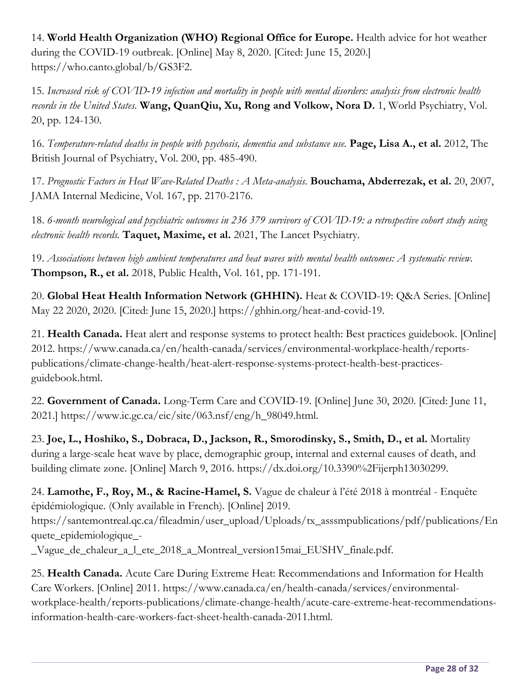14. **World Health Organization (WHO) Regional Office for Europe.** Health advice for hot weather during the COVID-19 outbreak. [Online] May 8, 2020. [Cited: June 15, 2020.] https://who.canto.global/b/GS3F2.

15. *Increased risk of COVID‐19 infection and mortality in people with mental disorders: analysis from electronic health records in the United States.* **Wang, QuanQiu, Xu, Rong and Volkow, Nora D.** 1, World Psychiatry, Vol. 20, pp. 124-130.

16. *Temperature-related deaths in people with psychosis, dementia and substance use.* **Page, Lisa A., et al.** 2012, The British Journal of Psychiatry, Vol. 200, pp. 485-490.

17. *Prognostic Factors in Heat Wave-Related Deaths : A Meta-analysis.* **Bouchama, Abderrezak, et al.** 20, 2007, JAMA Internal Medicine, Vol. 167, pp. 2170-2176.

18. *6-month neurological and psychiatric outcomes in 236 379 survivors of COVID-19: a retrospective cohort study using electronic health records.* **Taquet, Maxime, et al.** 2021, The Lancet Psychiatry.

19. *Associations between high ambient temperatures and heat waves with mental health outcomes: A systematic review.*  **Thompson, R., et al.** 2018, Public Health, Vol. 161, pp. 171-191.

20. **Global Heat Health Information Network (GHHIN).** Heat & COVID-19: Q&A Series. [Online] May 22 2020, 2020. [Cited: June 15, 2020.] https://ghhin.org/heat-and-covid-19.

21. **Health Canada.** Heat alert and response systems to protect health: Best practices guidebook. [Online] 2012. https://www.canada.ca/en/health-canada/services/environmental-workplace-health/reportspublications/climate-change-health/heat-alert-response-systems-protect-health-best-practicesguidebook.html.

22. **Government of Canada.** Long-Term Care and COVID-19. [Online] June 30, 2020. [Cited: June 11, 2021.] https://www.ic.gc.ca/eic/site/063.nsf/eng/h\_98049.html.

23. **Joe, L., Hoshiko, S., Dobraca, D., Jackson, R., Smorodinsky, S., Smith, D., et al.** Mortality during a large-scale heat wave by place, demographic group, internal and external causes of death, and building climate zone. [Online] March 9, 2016. https://dx.doi.org/10.3390%2Fijerph13030299.

24. **Lamothe, F., Roy, M., & Racine-Hamel, S.** Vague de chaleur à l'été 2018 à montréal - Enquête épidémiologique. (Only available in French). [Online] 2019.

https://santemontreal.qc.ca/fileadmin/user\_upload/Uploads/tx\_asssmpublications/pdf/publications/En quete\_epidemiologique\_-

\_Vague\_de\_chaleur\_a\_l\_ete\_2018\_a\_Montreal\_version15mai\_EUSHV\_finale.pdf.

25. **Health Canada.** Acute Care During Extreme Heat: Recommendations and Information for Health Care Workers. [Online] 2011. https://www.canada.ca/en/health-canada/services/environmentalworkplace-health/reports-publications/climate-change-health/acute-care-extreme-heat-recommendationsinformation-health-care-workers-fact-sheet-health-canada-2011.html.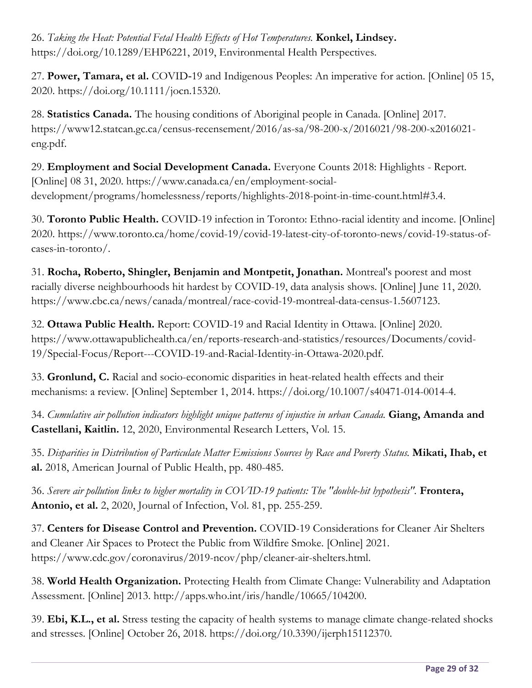26. *Taking the Heat: Potential Fetal Health Effects of Hot Temperatures.* **Konkel, Lindsey.** https://doi.org/10.1289/EHP6221, 2019, Environmental Health Perspectives.

27. **Power, Tamara, et al.** COVID‐19 and Indigenous Peoples: An imperative for action. [Online] 05 15, 2020. https://doi.org/10.1111/jocn.15320.

28. **Statistics Canada.** The housing conditions of Aboriginal people in Canada. [Online] 2017. https://www12.statcan.gc.ca/census-recensement/2016/as-sa/98-200-x/2016021/98-200-x2016021 eng.pdf.

29. **Employment and Social Development Canada.** Everyone Counts 2018: Highlights - Report. [Online] 08 31, 2020. https://www.canada.ca/en/employment-socialdevelopment/programs/homelessness/reports/highlights-2018-point-in-time-count.html#3.4.

30. **Toronto Public Health.** COVID-19 infection in Toronto: Ethno-racial identity and income. [Online] 2020. https://www.toronto.ca/home/covid-19/covid-19-latest-city-of-toronto-news/covid-19-status-ofcases-in-toronto/.

31. **Rocha, Roberto, Shingler, Benjamin and Montpetit, Jonathan.** Montreal's poorest and most racially diverse neighbourhoods hit hardest by COVID-19, data analysis shows. [Online] June 11, 2020. https://www.cbc.ca/news/canada/montreal/race-covid-19-montreal-data-census-1.5607123.

32. **Ottawa Public Health.** Report: COVID-19 and Racial Identity in Ottawa. [Online] 2020. https://www.ottawapublichealth.ca/en/reports-research-and-statistics/resources/Documents/covid-19/Special-Focus/Report---COVID-19-and-Racial-Identity-in-Ottawa-2020.pdf.

33. **Gronlund, C.** Racial and socio-economic disparities in heat-related health effects and their mechanisms: a review. [Online] September 1, 2014. https://doi.org/10.1007/s40471-014-0014-4.

34. *Cumulative air pollution indicators highlight unique patterns of injustice in urban Canada.* **Giang, Amanda and Castellani, Kaitlin.** 12, 2020, Environmental Research Letters, Vol. 15.

35. *Disparities in Distribution of Particulate Matter Emissions Sources by Race and Poverty Status.* **Mikati, Ihab, et al.** 2018, American Journal of Public Health, pp. 480-485.

36. *Severe air pollution links to higher mortality in COVID-19 patients: The "double-hit hypothesis".* **Frontera, Antonio, et al.** 2, 2020, Journal of Infection, Vol. 81, pp. 255-259.

37. **Centers for Disease Control and Prevention.** COVID-19 Considerations for Cleaner Air Shelters and Cleaner Air Spaces to Protect the Public from Wildfire Smoke. [Online] 2021. https://www.cdc.gov/coronavirus/2019-ncov/php/cleaner-air-shelters.html.

38. **World Health Organization.** Protecting Health from Climate Change: Vulnerability and Adaptation Assessment. [Online] 2013. http://apps.who.int/iris/handle/10665/104200.

39. **Ebi, K.L., et al.** Stress testing the capacity of health systems to manage climate change-related shocks and stresses. [Online] October 26, 2018. https://doi.org/10.3390/ijerph15112370.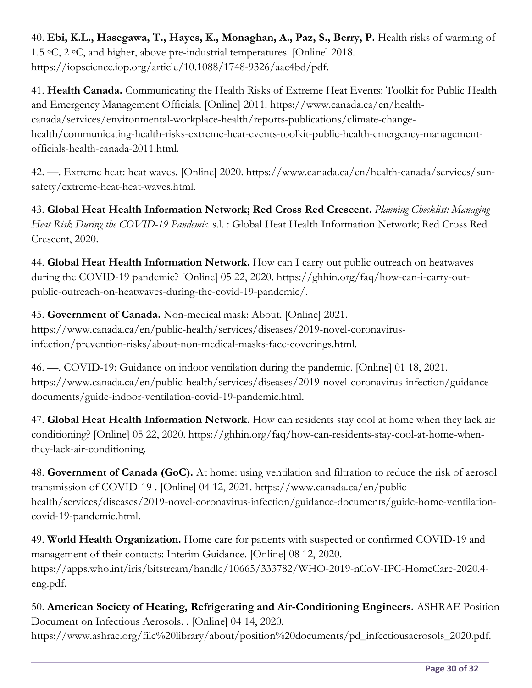40. **Ebi, K.L., Hasegawa, T., Hayes, K., Monaghan, A., Paz, S., Berry, P.** Health risks of warming of 1.5 ◦C, 2 ◦C, and higher, above pre-industrial temperatures. [Online] 2018. https://iopscience.iop.org/article/10.1088/1748-9326/aac4bd/pdf.

41. **Health Canada.** Communicating the Health Risks of Extreme Heat Events: Toolkit for Public Health and Emergency Management Officials. [Online] 2011. https://www.canada.ca/en/healthcanada/services/environmental-workplace-health/reports-publications/climate-changehealth/communicating-health-risks-extreme-heat-events-toolkit-public-health-emergency-managementofficials-health-canada-2011.html.

42. —. Extreme heat: heat waves. [Online] 2020. https://www.canada.ca/en/health-canada/services/sunsafety/extreme-heat-heat-waves.html.

43. **Global Heat Health Information Network; Red Cross Red Crescent.** *Planning Checklist: Managing Heat Risk During the COVID-19 Pandemic.* s.l. : Global Heat Health Information Network; Red Cross Red Crescent, 2020.

44. **Global Heat Health Information Network.** How can I carry out public outreach on heatwaves during the COVID-19 pandemic? [Online] 05 22, 2020. https://ghhin.org/faq/how-can-i-carry-outpublic-outreach-on-heatwaves-during-the-covid-19-pandemic/.

45. **Government of Canada.** Non-medical mask: About. [Online] 2021. https://www.canada.ca/en/public-health/services/diseases/2019-novel-coronavirusinfection/prevention-risks/about-non-medical-masks-face-coverings.html.

46. —. COVID-19: Guidance on indoor ventilation during the pandemic. [Online] 01 18, 2021. https://www.canada.ca/en/public-health/services/diseases/2019-novel-coronavirus-infection/guidancedocuments/guide-indoor-ventilation-covid-19-pandemic.html.

47. **Global Heat Health Information Network.** How can residents stay cool at home when they lack air conditioning? [Online] 05 22, 2020. https://ghhin.org/faq/how-can-residents-stay-cool-at-home-whenthey-lack-air-conditioning.

48. **Government of Canada (GoC).** At home: using ventilation and filtration to reduce the risk of aerosol transmission of COVID-19 . [Online] 04 12, 2021. https://www.canada.ca/en/publichealth/services/diseases/2019-novel-coronavirus-infection/guidance-documents/guide-home-ventilationcovid-19-pandemic.html.

49. **World Health Organization.** Home care for patients with suspected or confirmed COVID-19 and management of their contacts: Interim Guidance. [Online] 08 12, 2020. https://apps.who.int/iris/bitstream/handle/10665/333782/WHO-2019-nCoV-IPC-HomeCare-2020.4 eng.pdf.

50. **American Society of Heating, Refrigerating and Air-Conditioning Engineers.** ASHRAE Position Document on Infectious Aerosols. . [Online] 04 14, 2020.

https://www.ashrae.org/file%20library/about/position%20documents/pd\_infectiousaerosols\_2020.pdf.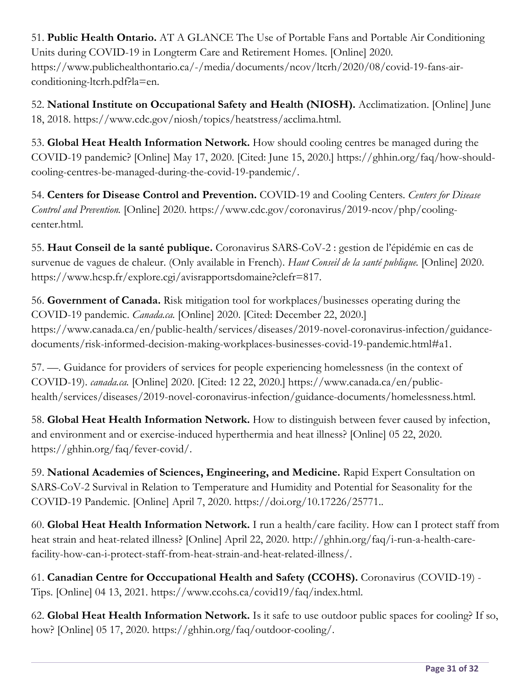51. **Public Health Ontario.** AT A GLANCE The Use of Portable Fans and Portable Air Conditioning Units during COVID-19 in Longterm Care and Retirement Homes. [Online] 2020. https://www.publichealthontario.ca/-/media/documents/ncov/ltcrh/2020/08/covid-19-fans-airconditioning-ltcrh.pdf?la=en.

52. **National Institute on Occupational Safety and Health (NIOSH).** Acclimatization. [Online] June 18, 2018. https://www.cdc.gov/niosh/topics/heatstress/acclima.html.

53. **Global Heat Health Information Network.** How should cooling centres be managed during the COVID-19 pandemic? [Online] May 17, 2020. [Cited: June 15, 2020.] https://ghhin.org/faq/how-shouldcooling-centres-be-managed-during-the-covid-19-pandemic/.

54. **Centers for Disease Control and Prevention.** COVID-19 and Cooling Centers. *Centers for Disease Control and Prevention.* [Online] 2020. https://www.cdc.gov/coronavirus/2019-ncov/php/coolingcenter.html.

55. **Haut Conseil de la santé publique.** Coronavirus SARS-CoV-2 : gestion de l'épidémie en cas de survenue de vagues de chaleur. (Only available in French). *Haut Conseil de la santé publique.* [Online] 2020. https://www.hcsp.fr/explore.cgi/avisrapportsdomaine?clefr=817.

56. **Government of Canada.** Risk mitigation tool for workplaces/businesses operating during the COVID-19 pandemic. *Canada.ca.* [Online] 2020. [Cited: December 22, 2020.] https://www.canada.ca/en/public-health/services/diseases/2019-novel-coronavirus-infection/guidancedocuments/risk-informed-decision-making-workplaces-businesses-covid-19-pandemic.html#a1.

57. —. Guidance for providers of services for people experiencing homelessness (in the context of COVID-19). *canada.ca.* [Online] 2020. [Cited: 12 22, 2020.] https://www.canada.ca/en/publichealth/services/diseases/2019-novel-coronavirus-infection/guidance-documents/homelessness.html.

58. **Global Heat Health Information Network.** How to distinguish between fever caused by infection, and environment and or exercise-induced hyperthermia and heat illness? [Online] 05 22, 2020. https://ghhin.org/faq/fever-covid/.

59. **National Academies of Sciences, Engineering, and Medicine.** Rapid Expert Consultation on SARS-CoV-2 Survival in Relation to Temperature and Humidity and Potential for Seasonality for the COVID-19 Pandemic. [Online] April 7, 2020. https://doi.org/10.17226/25771..

60. **Global Heat Health Information Network.** I run a health/care facility. How can I protect staff from heat strain and heat-related illness? [Online] April 22, 2020. http://ghhin.org/faq/i-run-a-health-carefacility-how-can-i-protect-staff-from-heat-strain-and-heat-related-illness/.

61. **Canadian Centre for Occcupational Health and Safety (CCOHS).** Coronavirus (COVID-19) - Tips. [Online] 04 13, 2021. https://www.ccohs.ca/covid19/faq/index.html.

62. **Global Heat Health Information Network.** Is it safe to use outdoor public spaces for cooling? If so, how? [Online] 05 17, 2020. https://ghhin.org/faq/outdoor-cooling/.